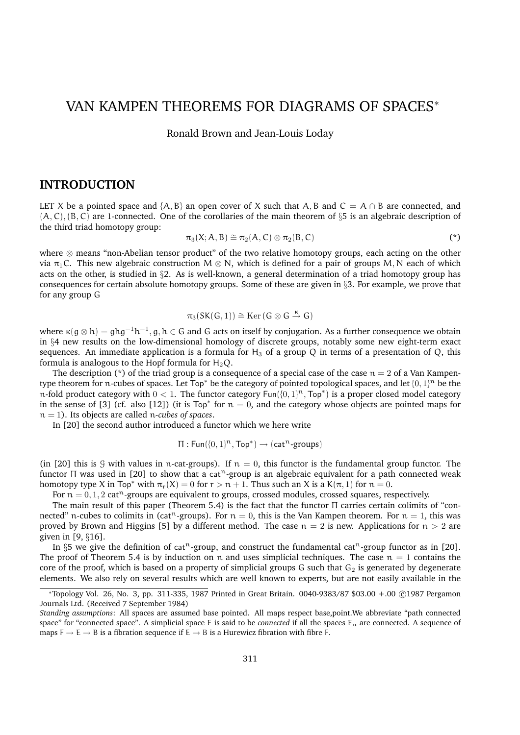# VAN KAMPEN THEOREMS FOR DIAGRAMS OF SPACES<sup>∗</sup>

Ronald Brown and Jean-Louis Loday

### **INTRODUCTION**

LET X be a pointed space and {A, B} an open cover of X such that A, B and  $C = A \cap B$  are connected, and  $(A, C), (B, C)$  are 1-connected. One of the corollaries of the main theorem of §5 is an algebraic description of the third triad homotopy group:

$$
\pi_3(X; A, B) \cong \pi_2(A, C) \otimes \pi_2(B, C) \tag{*}
$$

where ⊗ means "non-Abelian tensor product" of the two relative homotopy groups, each acting on the other via  $\pi_1$ C. This new algebraic construction  $M \otimes N$ , which is defined for a pair of groups M, N each of which acts on the other, is studied in §2. As is well-known, a general determination of a triad homotopy group has consequences for certain absolute homotopy groups. Some of these are given in §3. For example, we prove that for any group G

$$
\pi_3(SK(G,1))\cong {\rm Ker}\,(G\otimes G\stackrel{\kappa}{\to} G)
$$

where  $\kappa(g \otimes h) = ghg^{-1}h^{-1}, g, h \in G$  and G acts on itself by conjugation. As a further consequence we obtain in §4 new results on the low-dimensional homology of discrete groups, notably some new eight-term exact sequences. An immediate application is a formula for  $H_3$  of a group Q in terms of a presentation of Q, this formula is analogous to the Hopf formula for  $H_2Q$ .

The description (\*) of the triad group is a consequence of a special case of the case  $n = 2$  of a Van Kampentype theorem for n-cubes of spaces. Let  $Top^*$  be the category of pointed topological spaces, and let  $\{0,1\}^n$  be the n-fold product category with  $0 < 1$ . The functor category Fun({0, 1}<sup>n</sup>, Top<sup>\*</sup>) is a proper closed model category in the sense of [3] (cf. also [12]) (it is  $Top^*$  for  $n = 0$ , and the category whose objects are pointed maps for n = 1). Its objects are called n*-cubes of spaces*.

In [20] the second author introduced a functor which we here write

$$
\Pi: \mathsf{Fun}(\{0,1\}^n, \mathsf{Top}^*) \to (\mathsf{cat}^n\text{-groups})
$$

(in [20] this is 9 with values in n-cat-groups). If  $n = 0$ , this functor is the fundamental group functor. The functor  $\Pi$  was used in [20] to show that a cat<sup>n</sup>-group is an algebraic equivalent for a path connected weak homotopy type X in Top<sup>\*</sup> with  $\pi_r(X) = 0$  for  $r > n + 1$ . Thus such an X is a K( $\pi$ , 1) for  $n = 0$ .

For  $n = 0, 1, 2$  cat<sup>n</sup>-groups are equivalent to groups, crossed modules, crossed squares, respectively.

The main result of this paper (Theorem 5.4) is the fact that the functor Π carries certain colimits of "connected" n-cubes to colimits in (cat<sup>n</sup>-groups). For  $n = 0$ , this is the Van Kampen theorem. For  $n = 1$ , this was proved by Brown and Higgins [5] by a different method. The case  $n = 2$  is new. Applications for  $n > 2$  are given in [9, §16].

In §5 we give the definition of cat<sup>n</sup>-group, and construct the fundamental cat<sup>n</sup>-group functor as in [20]. The proof of Theorem 5.4 is by induction on n and uses simplicial techniques. The case  $n = 1$  contains the core of the proof, which is based on a property of simplicial groups G such that  $G_2$  is generated by degenerate elements. We also rely on several results which are well known to experts, but are not easily available in the

<sup>∗</sup>Topology Vol. 26, No. 3, pp. 311-335, 1987 Printed in Great Britain. 0040-9383/87 \$03.00 +.00 ©1987 Pergamon Journals Ltd. (Received 7 September 1984)

*Standing assumptions*: All spaces are assumed base pointed. All maps respect base,point.We abbreviate "path connected space" for "connected space". A simplicial space E is said to be *connected* if all the spaces  $E_n$  are connected. A sequence of maps  $F \to E \to B$  is a fibration sequence if  $E \to B$  is a Hurewicz fibration with fibre F.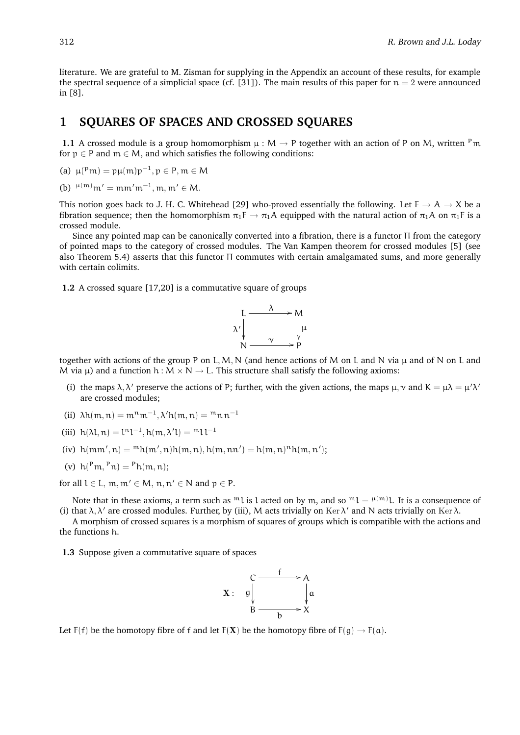literature. We are grateful to M. Zisman for supplying in the Appendix an account of these results, for example the spectral sequence of a simplicial space (cf. [31]). The main results of this paper for  $n = 2$  were announced in [8].

# **1 SQUARES OF SPACES AND CROSSED SQUARES**

**1.1** A crossed module is a group homomorphism  $\mu : M \to P$  together with an action of P on M, written <sup>P</sup>m for  $p \in P$  and  $m \in M$ , and which satisfies the following conditions:

(a)  $\mu(^p m) = p\mu(m)p^{-1}, p \in P, m \in M$ 

(b)  $\mu^{(m)}$  m' = mm' m<sup>-1</sup>, m, m' ∈ M.

This notion goes back to J. H. C. Whitehead [29] who-proved essentially the following. Let  $F \to A \to X$  be a fibration sequence; then the homomorphism  $\pi_1F \to \pi_1A$  equipped with the natural action of  $\pi_1A$  on  $\pi_1F$  is a crossed module.

Since any pointed map can be canonically converted into a fibration, there is a functor Π from the category of pointed maps to the category of crossed modules. The Van Kampen theorem for crossed modules [5] (see also Theorem 5.4) asserts that this functor Π commutes with certain amalgamated sums, and more generally with certain colimits.

**1.2** A crossed square [17,20] is a commutative square of groups



together with actions of the group P on L, M, N (and hence actions of M on L and N via  $\mu$  and of N on L and M via  $\mu$ ) and a function h : M  $\times$  N  $\rightarrow$  L. This structure shall satisfy the following axioms:

- (i) the maps  $\lambda, \lambda'$  preserve the actions of P; further, with the given actions, the maps  $\mu, \nu$  and  $K = \mu\lambda = \mu'\lambda'$ are crossed modules;
- (ii)  $\lambda h(m, n) = m^n m^{-1}, \lambda' h(m, n) = m^n n n^{-1}$
- (iii)  $h(\lambda l, n) = l^{n}l^{-1}, h(m, \lambda' l) = m l l^{-1}$
- (iv)  $h(mm', n) = {}^{m}h(m', n)h(m, n), h(m, nn') = h(m, n)<sup>n</sup>h(m, n');$
- (v)  $h(^{P}m, ^{P}n) = {}^{P}h(m, n);$

for all  $l \in L$ ,  $m, m' \in M$ ,  $n, n' \in N$  and  $p \in P$ .

Note that in these axioms, a term such as <sup>m</sup>l is l acted on by m, and so <sup>m</sup>l = <sup>µ(m)</sup>l. It is a consequence of (i) that  $\lambda, \lambda'$  are crossed modules. Further, by (iii), M acts trivially on Ker  $\lambda'$  and N acts trivially on Ker  $\lambda$ .

A morphism of crossed squares is a morphism of squares of groups which is compatible with the actions and the functions h.

**1.3** Suppose given a commutative square of spaces



Let  $F(f)$  be the homotopy fibre of f and let  $F(X)$  be the homotopy fibre of  $F(g) \rightarrow F(a)$ .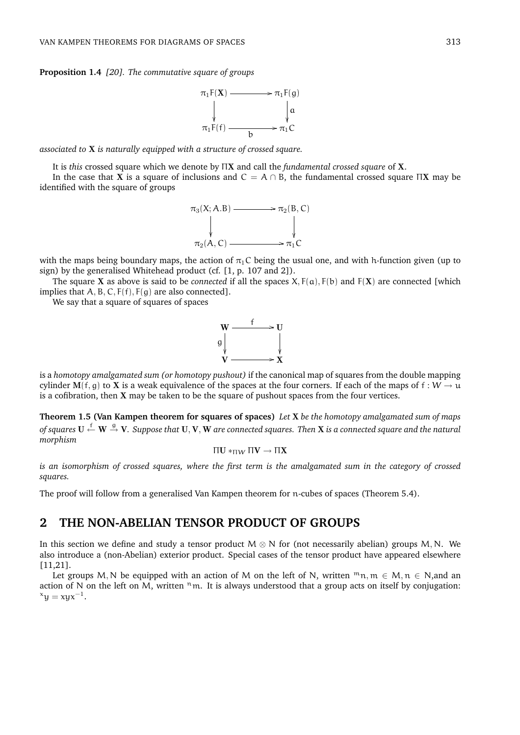**Proposition 1.4** *[20]. The commutative square of groups*



*associated to* X *is naturally equipped with a structure of crossed square.*

It is *this* crossed square which we denote by ΠX and call the *fundamental crossed square* of X.

In the case that X is a square of inclusions and  $C = A \cap B$ , the fundamental crossed square  $\Pi X$  may be identified with the square of groups



with the maps being boundary maps, the action of  $\pi_1 C$  being the usual one, and with h-function given (up to sign) by the generalised Whitehead product (cf. [1, p. 107 and 2]).

The square X as above is said to be *connected* if all the spaces  $X$ ,  $F(a)$ ,  $F(b)$  and  $F(X)$  are connected [which implies that  $A, B, C, F(f), F(g)$  are also connected].

We say that a square of squares of spaces



is a *homotopy amalgamated sum (or homotopy pushout)* if the canonical map of squares from the double mapping cylinder M(f, g) to X is a weak equivalence of the spaces at the four corners. If each of the maps of f :  $W \to u$ is a cofibration, then  $X$  may be taken to be the square of pushout spaces from the four vertices.

**Theorem 1.5 (Van Kampen theorem for squares of spaces)** *Let* X *be the homotopy amalgamated sum of maps* of squares  $\bf{U} \stackrel{f}{\leftarrow} \bf{W} \stackrel{g}{\to} \bf{V}.$  Suppose that  $\bf{U}, \bf{V}, \bf{W}$  are connected squares. Then  $\bf{X}$  is a connected square and the natural *morphism*

$$
\Pi U*_{\Pi W}\Pi V\to \Pi X
$$

*is an isomorphism of crossed squares, where the first term is the amalgamated sum in the category of crossed squares.*

The proof will follow from a generalised Van Kampen theorem for n-cubes of spaces (Theorem 5.4).

# **2 THE NON-ABELIAN TENSOR PRODUCT OF GROUPS**

In this section we define and study a tensor product  $M \otimes N$  for (not necessarily abelian) groups M, N. We also introduce a (non-Abelian) exterior product. Special cases of the tensor product have appeared elsewhere [11,21].

Let groups M, N be equipped with an action of M on the left of N, written  $m_n$ ,  $m \in M$ ,  $n \in N$ , and an action of N on the left on M, written  $n_m$ . It is always understood that a group acts on itself by conjugation:  $x_y = xyx^{-1}.$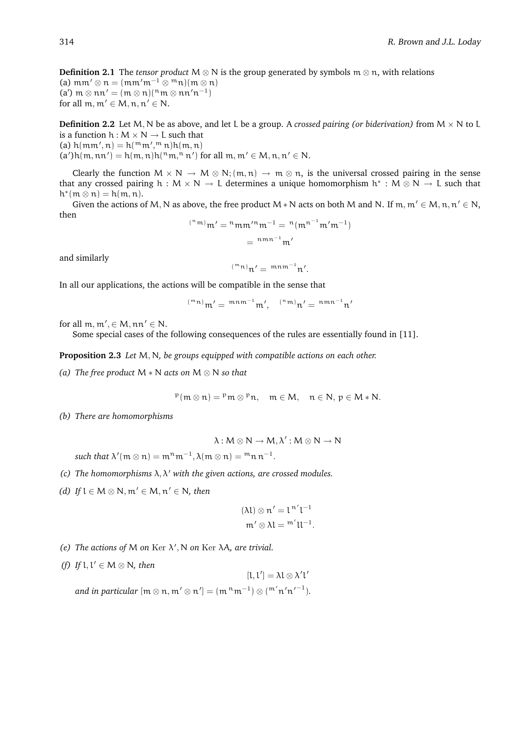**Definition 2.1** The *tensor product* M  $\otimes$  N is the group generated by symbols m  $\otimes$  n, with relations (a) mm'  $\otimes$  n =  $\left(\text{mm}'\text{m}^{-1}\otimes^{\text{m}}\text{n}\right)\left(\text{m}\otimes\text{n}\right)$ (a')  $m \otimes nn' = (m \otimes n)(nm \otimes nn'n^{-1})$ for all  $m, m' \in M, n, n' \in N$ .

**Definition 2.2** Let M, N be as above, and let L be a group. A *crossed pairing (or biderivation)* from  $M \times N$  to L is a function  $h : M \times N \rightarrow L$  such that

(a)  $h(mm', n) = h(^{m}m', ^{m}n)h(m, n)$ 

 $(a')h(m,nn') = h(m,n)h(^nm, n,n')$  for all  $m,m' \in M, n,n' \in N$ .

Clearly the function  $M \times N \to M \otimes N$ ;  $(m, n) \to m \otimes n$ , is the universal crossed pairing in the sense that any crossed pairing  $h : M \times N \to L$  determines a unique homomorphism  $h^* : M \otimes N \to L$  such that  $h^*(m \otimes n) = h(m, n).$ 

Given the actions of M, N as above, the free product M  $*$  N acts on both M and N. If m, m'  $\in$  M, n, n'  $\in$  N, then

$$
^{(n m)}m' = {}^{n}m m' {}^{n}m^{-1} = {}^{n}(m^{n^{-1}}m'm^{-1})
$$

$$
= {}^{n m n^{-1}}m'
$$

and similarly

$$
({}^{\mathfrak{m}}\mathfrak{n})\mathfrak{n}'=\left.{}^{\mathfrak{m}\mathfrak{n}\mathfrak{m}^{-1}}\mathfrak{n}'.
$$

In all our applications, the actions will be compatible in the sense that

$$
^{(^{m}n)}m' = \ ^{m n\, m^{-1}}m', \quad ^{(^{n}\,m)}n' = \ ^{n\, m\, n^{-1}}n'
$$

for all  $m, m', \in M, nn' \in N$ .

Some special cases of the following consequences of the rules are essentially found in [11].

**Proposition 2.3** *Let* M, N*, be groups equipped with compatible actions on each other.*

*(a) The free product* M ∗ N *acts on* M ⊗ N *so that*

 $P(m \otimes n) = Pm \otimes Pn$ ,  $m \in M$ ,  $n \in N$ ,  $p \in M * N$ .

*(b) There are homomorphisms*

$$
\lambda: M\otimes N\to M, \lambda': M\otimes N\to N
$$

such that  $\lambda'(\mathfrak{m} \otimes \mathfrak{n}) = \mathfrak{m}^{\mathfrak{n}} \mathfrak{m}^{-1}, \lambda(\mathfrak{m} \otimes \mathfrak{n}) = \mathfrak{m} \mathfrak{n} \mathfrak{n}^{-1}.$ 

- *(c) The homomorphisms* λ, λ <sup>0</sup> *with the given actions, are crossed modules.*
- *(d) If*  $l$  ∈  $M$  ⊗  $N, m'$  ∈  $M, n'$  ∈  $N$ *, then*

$$
(\lambda l) \otimes n' = l^{n'} l^{-1}
$$

$$
m' \otimes \lambda l = {}^{m'} l l^{-1}.
$$

- (e) The actions of M on Ker  $\lambda'$ , N on Ker  $\lambda A$ *, are trivial.*
- (f) If  $l, l' \in M \otimes N$ *, then*

 $[\iota, \iota'] = \lambda \iota \otimes \lambda' \iota'$ and in particular  $[{\mathfrak m}\otimes {\mathfrak n}, {\mathfrak m}'\otimes {\mathfrak n}']=({\mathfrak m}^{\vert {\mathfrak n}}{\mathfrak m}^{-1})\otimes({\mathfrak m}'{\mathfrak n}'{\mathfrak n}'^{-1}).$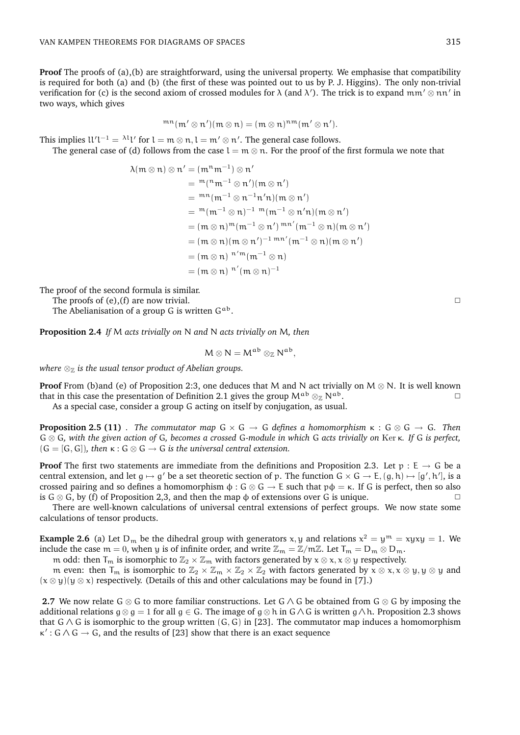**Proof** The proofs of (a),(b) are straightforward, using the universal property. We emphasise that compatibility is required for both (a) and (b) (the first of these was pointed out to us by P. J. Higgins). The only non-trivial verification for (c) is the second axiom of crossed modules for  $\lambda$  (and  $\lambda'$ ). The trick is to expand mm'  $\otimes$  nn' in two ways, which gives

$$
{}^{mn}(\mathfrak{m}' \otimes \mathfrak{n}')(\mathfrak{m} \otimes \mathfrak{n}) = (\mathfrak{m} \otimes \mathfrak{n})^{\mathfrak{n} \mathfrak{m}}(\mathfrak{m}' \otimes \mathfrak{n}').
$$

This implies  $U'l^{-1} = \lambda^l l'$  for  $l = m \otimes n, l = m' \otimes n'.$  The general case follows.

The general case of (d) follows from the case  $l = m \otimes n$ . For the proof of the first formula we note that

$$
\lambda(m \otimes n) \otimes n' = (m^n m^{-1}) \otimes n'
$$
  
\n
$$
= {}^m({}^n m^{-1} \otimes n')(m \otimes n')
$$
  
\n
$$
= {}^{m}n(m^{-1} \otimes n^{-1}n'n)(m \otimes n')
$$
  
\n
$$
= {}^m(m^{-1} \otimes n)^{-1} {}^m(m^{-1} \otimes n'n)(m \otimes n')
$$
  
\n
$$
= (m \otimes n) {}^m(m^{-1} \otimes n') {}^{mn'}(m^{-1} \otimes n)(m \otimes n')
$$
  
\n
$$
= (m \otimes n) (m \otimes n')^{-1} {}^{mn'}(m^{-1} \otimes n)(m \otimes n')
$$
  
\n
$$
= (m \otimes n) {}^{n'm}(m^{-1} \otimes n)
$$
  
\n
$$
= (m \otimes n) {}^{n''}(m \otimes n)^{-1}
$$

The proof of the second formula is similar.

The proofs of (e),(f) are now trivial.  $\square$ 

The Abelianisation of a group G is written  $G^{ab}$ .

**Proposition 2.4** *If* M *acts trivially on* N *and* N *acts trivially on* M*, then*

$$
M\otimes N=M^{ab}\otimes_{\mathbb{Z}}N^{ab},
$$

*where*  $\otimes_{\mathbb{Z}}$  *is the usual tensor product of Abelian groups.* 

**Proof** From (b)and (e) of Proposition 2:3, one deduces that M and N act trivially on  $M \otimes N$ . It is well known that in this case the presentation of Definition 2.1 gives the group  $M^{ab} \otimes_{\mathbb{Z}} N^{ab}$ .

As a special case, consider a group G acting on itself by conjugation, as usual.

**Proposition 2.5 (11)** *. The commutator map* G × G → G *defines a homomorphism* κ : G ⊗ G → G*. Then* G ⊗ G*, with the given action of* G*, becomes a crossed* G*-module in which* G *acts trivially on* Ker κ*. If* G *is perfect,*  $(G = [G, G])$ , then  $\kappa : G \otimes G \rightarrow G$  *is the universal central extension.* 

**Proof** The first two statements are immediate from the definitions and Proposition 2.3. Let  $p : E \rightarrow G$  be a central extension, and let  $g \mapsto g'$  be a set theoretic section of p. The function  $G \times G \to E$ ,  $(g, h) \mapsto [g', h']$ , is a crossed pairing and so defines a homomorphism  $\phi$ : G  $\otimes$  G  $\rightarrow$  E such that  $p\phi = \kappa$ . If G is perfect, then so also is G  $\otimes$  G, by (f) of Proposition 2,3, and then the map  $\phi$  of extensions over G is unique.

There are well-known calculations of universal central extensions of perfect groups. We now state some calculations of tensor products.

**Example 2.6** (a) Let  $D_m$  be the dihedral group with generators x, y and relations  $x^2 = y^m = xyxy = 1$ . We include the case m = 0, when y is of infinite order, and write  $\mathbb{Z}_m = \mathbb{Z}/m\mathbb{Z}$ . Let  $T_m = D_m \otimes D_m$ .

m odd: then  $T_m$  is isomorphic to  $\mathbb{Z}_2 \times \mathbb{Z}_m$  with factors generated by  $x \otimes x$ ,  $x \otimes y$  respectively.

m even: then  $T_m$  is isomorphic to  $\mathbb{Z}_2 \times \mathbb{Z}_m \times \mathbb{Z}_2 \times \mathbb{Z}_2$  with factors generated by  $x \otimes x, x \otimes y, y \otimes y$  and  $(x \otimes y)(y \otimes x)$  respectively. (Details of this and other calculations may be found in [7].)

**2.7** We now relate G ⊗ G to more familiar constructions. Let G ∧ G be obtained from G ⊗ G by imposing the additional relations  $g \otimes g = 1$  for all  $g \in G$ . The image of  $g \otimes h$  in  $G \wedge G$  is written  $g \wedge h$ . Proposition 2.3 shows that  $G \wedge G$  is isomorphic to the group written  $(G, G)$  in [23]. The commutator map induces a homomorphism  $\kappa'$ :  $G \wedge G \rightarrow G$ , and the results of [23] show that there is an exact sequence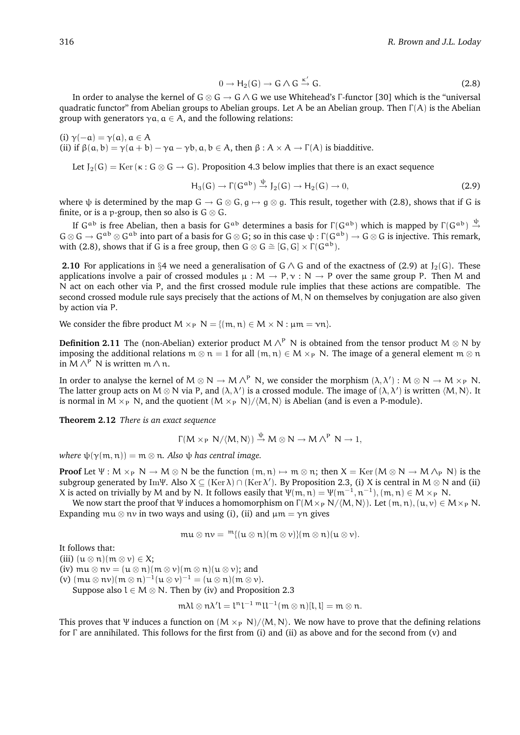$$
0 \to H_2(G) \to G \wedge G \xrightarrow{\kappa'} G. \tag{2.8}
$$

In order to analyse the kernel of G  $\otimes$  G  $\rightarrow$  G  $\wedge$  G we use Whitehead's Γ-functor [30] which is the "universal quadratic functor" from Abelian groups to Abelian groups. Let A be an Abelian group. Then  $\Gamma(A)$  is the Abelian group with generators  $\gamma a$ ,  $a \in A$ , and the following relations:

(i)  $\gamma(-\alpha) = \gamma(\alpha), \alpha \in A$ (ii) if  $\beta(a, b) = \gamma(a + b) - \gamma a - \gamma b$ ,  $a, b \in A$ , then  $\beta : A \times A \rightarrow \Gamma(A)$  is biadditive.

Let  $J_2(G) = \text{Ker}(\kappa : G \otimes G \to G)$ . Proposition 4.3 below implies that there is an exact sequence

$$
H_3(G) \to \Gamma(G^{ab}) \xrightarrow{\psi} J_2(G) \to H_2(G) \to 0,
$$
\n(2.9)

where  $\psi$  is determined by the map  $G \to G \otimes G$ ,  $g \mapsto g \otimes g$ . This result, together with (2.8), shows that if G is finite, or is a p-group, then so also is  $G \otimes G$ .

If G<sup>ab</sup> is free Abelian, then a basis for G<sup>ab</sup> determines a basis for  $\Gamma(G^{ab})$  which is mapped by  $\Gamma(G^{ab}) \stackrel{\psi}{\rightarrow}$  $G \otimes G \to G^{ab} \otimes G^{ab}$  into part of a basis for  $G \otimes G$ ; so in this case  $\psi : \Gamma(G^{ab}) \to G \otimes G$  is injective. This remark, with (2.8), shows that if G is a free group, then  $G \otimes G \cong [G, G] \times \Gamma(G^{ab})$ .

**2.10** For applications in §4 we need a generalisation of G  $\wedge$  G and of the exactness of (2.9) at  $J_2(G)$ . These applications involve a pair of crossed modules  $\mu : M \to P, \gamma : N \to P$  over the same group P. Then M and N act on each other via P, and the first crossed module rule implies that these actions are compatible. The second crossed module rule says precisely that the actions of M, N on themselves by conjugation are also given by action via P.

We consider the fibre product  $M \times_P N = \{(m, n) \in M \times N : \mu m = \nu n\}.$ 

**Definition 2.11** The (non-Abelian) exterior product M  $\wedge^P$  N is obtained from the tensor product M  $\otimes$  N by imposing the additional relations  $m \otimes n = 1$  for all  $(m, n) \in M \times_P N$ . The image of a general element  $m \otimes n$ in  $M \wedge^P N$  is written  $m \wedge n$ .

In order to analyse the kernel of  $M \otimes N \to M \wedge^P N$ , we consider the morphism  $(\lambda, \lambda') : M \otimes N \to M \times_P N$ . The latter group acts on  $M \otimes N$  via P, and  $(\lambda, \lambda')$  is a crossed module. The image of  $(\lambda, \lambda')$  is written  $(M, N)$ . It is normal in  $M \times_{P} N$ , and the quotient  $(M \times_{P} N)/\langle M, N \rangle$  is Abelian (and is even a P-module).

**Theorem 2.12** *There is an exact sequence*

$$
\Gamma(M\times_P N/\langle M,N\rangle)\stackrel{\psi}{\to} M\otimes N\to M\,\Lambda^P\ N\to 1,
$$

*where*  $\psi(\gamma(m, n)) = m \otimes n$ . Also  $\psi$  *has central image.* 

**Proof** Let  $\Psi : M \times_{P} N \to M \otimes N$  be the function  $(m, n) \mapsto m \otimes n$ ; then  $X = \text{Ker}(M \otimes N \to M \wedge_{P} N)$  is the subgroup generated by ImΨ. Also  $X \subseteq (Ker \lambda) \cap (Ker \lambda')$ . By Proposition 2.3, (i) X is central in M  $\otimes$  N and (ii) X is acted on trivially by M and by N. It follows easily that  $\Psi(m, n) = \Psi(m^{-1}, n^{-1}), (m, n) \in M \times_{P} N$ .

We now start the proof that Ψ induces a homomorphism on  $\Gamma(M\times_{P} N/(M, N))$ . Let  $(m, n), (u, v) \in M \times_{P} N$ . Expanding mu  $\otimes$  nv in two ways and using (i), (ii) and  $\mu$ m =  $\gamma$ n gives

$$
\mathfrak{m} \mathfrak{u} \otimes \mathfrak{n} \mathfrak{v} = \mathfrak{m}\{(\mathfrak{u} \otimes \mathfrak{n})(\mathfrak{m} \otimes \mathfrak{v})\}(\mathfrak{m} \otimes \mathfrak{n})(\mathfrak{u} \otimes \mathfrak{v}).
$$

It follows that:

(iii)  $(u \otimes n)(m \otimes v) \in X;$ 

(iv)  $mu \otimes nv = (u \otimes n)(m \otimes v)(m \otimes n)(u \otimes v);$  and

(v)  $(\text{mu} \otimes \text{nu})(\text{m} \otimes \text{n})^{-1}(\text{u} \otimes \text{v})^{-1} = (\text{u} \otimes \text{u})(\text{m} \otimes \text{v}).$ 

Suppose also  $l \in M \otimes N$ . Then by (iv) and Proposition 2.3

$$
m\lambda l\otimes n\lambda' l=l^nl^{-1}mll^{-1}(m\otimes n)[l,l]=m\otimes n.
$$

This proves that Ψ induces a function on  $(M \times_{P} N)/\langle M, N \rangle$ . We now have to prove that the defining relations for Γ are annihilated. This follows for the first from (i) and (ii) as above and for the second from (v) and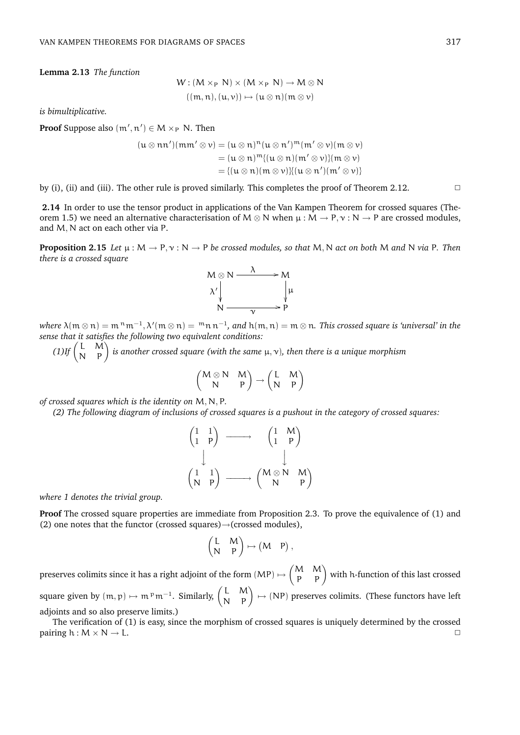**Lemma 2.13** *The function*

$$
W: (M \times_P N) \times (M \times_P N) \to M \otimes N
$$

$$
((m, n), (u, v)) \mapsto (u \otimes n)(m \otimes v)
$$

*is bimultiplicative.*

**Proof** Suppose also  $(m', n') \in M \times_{P} N$ . Then

$$
(u \otimes nn')(mm' \otimes v) = (u \otimes n)^{n}(u \otimes n')^{m}(m' \otimes v)(m \otimes v)
$$
  
=  $(u \otimes n)^{m}\{(u \otimes n)(m' \otimes v)\}(m \otimes v)$   
=  $\{(u \otimes n)(m \otimes v)\}\{(u \otimes n')(m' \otimes v)\}$ 

by (i), (ii) and (iii). The other rule is proved similarly. This completes the proof of Theorem 2.12.  $\Box$ 

**2.14** In order to use the tensor product in applications of the Van Kampen Theorem for crossed squares (Theorem 1.5) we need an alternative characterisation of  $M \otimes N$  when  $\mu : M \to P, \gamma : N \to P$  are crossed modules, and M, N act on each other via P.

**Proposition 2.15** *Let*  $\mu$  :  $M \to P$ ,  $\nu$  :  $N \to P$  *be crossed modules, so that*  $M$ ,  $N$  *act on both*  $M$  *and*  $N$  *via*  $P$ *. Then there is a crossed square*



where  $\lambda($  m  $\otimes$  n)  $=$  m  $^{\rm n}$  m $^{-1},$   $\lambda'$ (m  $\otimes$  n)  $=$   $^{\rm m}$  n  ${\rm n}^{-1},$  and  $\rm h$ (m, n)  $=$  m  $\otimes$  n. *This crossed square is 'universal' in the sense that it satisfies the following two equivalent conditions:*

*se that it sattspes the following two equivalent conditions:*<br>(1)If  $\begin{pmatrix} \mathrm{L} & \mathrm{M} \ \mathrm{N} & \mathrm{p} \end{pmatrix}$  is another crossed square (with the same μ, ν), then there is a unique morphism  $\overline{a}$  $\overline{a}$ 

$$
\begin{pmatrix} M\otimes N & M \\ N & P \end{pmatrix}\to \begin{pmatrix} L & M \\ N & P \end{pmatrix}
$$

*of crossed squares which is the identity on* M, N, P*.*

*(2) The following diagram of inclusions of crossed squares is a pushout in the category of crossed squares:*

$$
\begin{pmatrix} 1 & 1 \ 1 & P \end{pmatrix} \longrightarrow \begin{pmatrix} 1 & M \ 1 & P \end{pmatrix}
$$

$$
\begin{pmatrix} 1 & 1 \ N & P \end{pmatrix} \longrightarrow \begin{pmatrix} M \otimes N & M \ N & P \end{pmatrix}
$$

*where 1 denotes the trivial group.*

**Proof** The crossed square properties are immediate from Proposition 2.3. To prove the equivalence of (1) and (2) one notes that the functor (crossed squares)→(crossed modules),

$$
\begin{pmatrix} L & M \\ N & P \end{pmatrix} \mapsto \begin{pmatrix} M & P \end{pmatrix},
$$

preserves colimits since it has a right adjoint of the form  $(MP) \mapsto$  $\begin{pmatrix} M & M \\ P & P \end{pmatrix}$  with h-function of this last crossed square given by  $(m, p) \mapsto m^p m^{-1}$ . Similarly,  $\begin{pmatrix} L & M \\ N & P \end{pmatrix} \mapsto (NP)$  preserves colimits. (These functors have left adjoints and so also preserve limits.)

The verification of (1) is easy, since the morphism of crossed squares is uniquely determined by the crossed pairing h :  $M \times N \rightarrow L$ .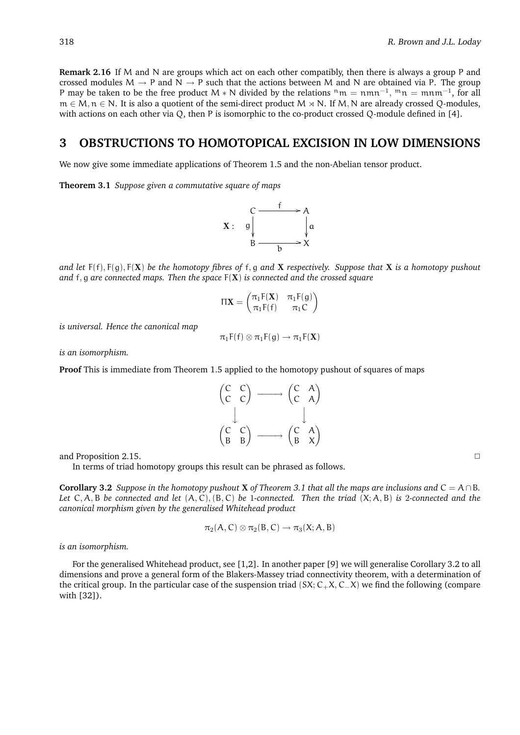**Remark 2.16** If M and N are groups which act on each other compatibly, then there is always a group P and crossed modules  $M \rightarrow P$  and  $N \rightarrow P$  such that the actions between M and N are obtained via P. The group P may be taken to be the free product M  $*$  N divided by the relations  $n_m = nmn^{-1}$ ,  $m_n = mmn^{-1}$ , for all  $m \in M$ ,  $n \in N$ . It is also a quotient of the semi-direct product  $M \rtimes N$ . If M, N are already crossed Q-modules, with actions on each other via Q, then P is isomorphic to the co-product crossed Q-module defined in [4].

# **3 OBSTRUCTIONS TO HOMOTOPICAL EXCISION IN LOW DIMENSIONS**

We now give some immediate applications of Theorem 1.5 and the non-Abelian tensor product.

**Theorem 3.1** *Suppose given a commutative square of maps*



*and let* F(f), F(g), F(X) *be the homotopy fibres of* f, g *and* X *respectively. Suppose that* X *is a homotopy pushout and* f, g *are connected maps. Then the space* F(X) *is connected and the crossed square*

$$
\Pi \mathbf{X} = \begin{pmatrix} \pi_1 F(\mathbf{X}) & \pi_1 F(g) \\ \pi_1 F(f) & \pi_1 C \end{pmatrix}
$$

*is universal. Hence the canonical map*

$$
\pi_1 F(f) \otimes \pi_1 F(g) \to \pi_1 F(\mathbf{X})
$$

*is an isomorphism.*

**Proof** This is immediate from Theorem 1.5 applied to the homotopy pushout of squares of maps

| $\begin{pmatrix} C & C \\ C & C \end{pmatrix}$ |  | $\begin{pmatrix} C & A \\ C & A \end{pmatrix}$ |                                                |
|------------------------------------------------|--|------------------------------------------------|------------------------------------------------|
| $\begin{pmatrix} C & C \\ B & B \end{pmatrix}$ |  |                                                | $\begin{pmatrix} C & A \\ B & X \end{pmatrix}$ |

and Proposition 2.15.

In terms of triad homotopy groups this result can be phrased as follows.

**Corollary 3.2** *Suppose in the homotopy pushout* **X** *of Theorem 3.1 that all the maps are inclusions and*  $C = A \cap B$ *. Let* C, A, B *be connected and let* (A, C),(B, C) *be* 1*-connected. Then the triad* (X; A, B) *is* 2*-connected and the canonical morphism given by the generalised Whitehead product*

$$
\pi_2(A,C)\otimes\pi_2(B,C)\to\pi_3(X;A,B)
$$

*is an isomorphism.*

For the generalised Whitehead product, see [1,2]. In another paper [9] we will generalise Corollary 3.2 to all dimensions and prove a general form of the Blakers-Massey triad connectivity theorem, with a determination of the critical group. In the particular case of the suspension triad (SX; C+X, C−X) we find the following (compare with [32]).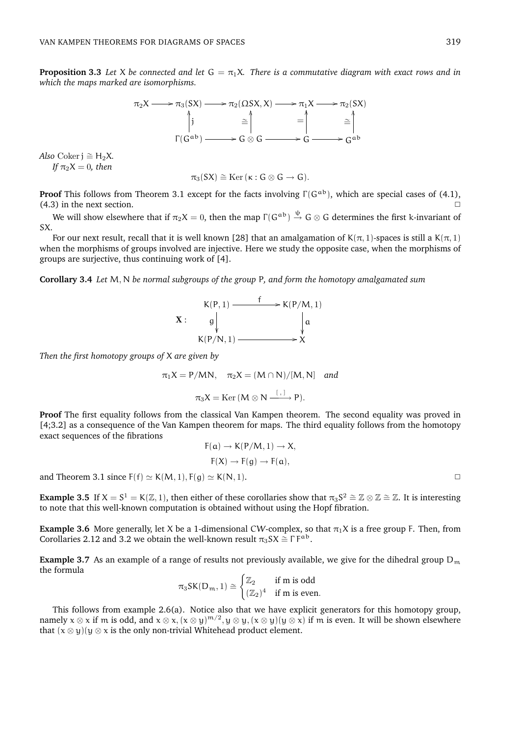**Proposition 3.3** *Let* X *be connected and let*  $G = \pi_1 X$ *. There is a commutative diagram with exact rows and in which the maps marked are isomorphisms.*



*Also* Coker  $j \approx H_2X$ . *If*  $\pi_2 X = 0$ *, then* 

$$
\pi_3(SX) \cong \mathrm{Ker}\, (\kappa: G \otimes G \to G).
$$

**Proof** This follows from Theorem 3.1 except for the facts involving  $\Gamma(G^{ab})$ , which are special cases of (4.1),  $(4.3)$  in the next section.  $\Box$ 

We will show elsewhere that if  $\pi_2X=0$ , then the map  $\Gamma(G^{ab})\stackrel{\psi}{\to}G\otimes G$  determines the first k-invariant of SX.

For our next result, recall that it is well known [28] that an amalgamation of  $K(\pi, 1)$ -spaces is still a  $K(\pi, 1)$ when the morphisms of groups involved are injective. Here we study the opposite case, when the morphisms of groups are surjective, thus continuing work of [4].

**Corollary 3.4** *Let* M, N *be normal subgroups of the group* P*, and form the homotopy amalgamated sum*



*Then the first homotopy groups of* X *are given by*

$$
\pi_1 X = P/MN, \quad \pi_2 X = (M \cap N)/[M, N] \quad \text{and}
$$

$$
\pi_3 X = \text{Ker}(M \otimes N \xrightarrow{\left[ , \right]} P).
$$

**Proof** The first equality follows from the classical Van Kampen theorem. The second equality was proved in [4;3.2] as a consequence of the Van Kampen theorem for maps. The third equality follows from the homotopy exact sequences of the fibrations

$$
F(a) \to K(P/M, 1) \to X,
$$

$$
F(X) \to F(g) \to F(a),
$$

and Theorem 3.1 since  $F(f) \simeq K(M, 1), F(g) \simeq K(N, 1).$ 

**Example 3.5** If  $X = S^1 = K(\mathbb{Z}, 1)$ , then either of these corollaries show that  $\pi_3 S^2 \cong \mathbb{Z} \otimes \mathbb{Z} \cong \mathbb{Z}$ . It is interesting to note that this well-known computation is obtained without using the Hopf fibration.

**Example 3.6** More generally, let X be a 1-dimensional CW-complex, so that  $\pi_1 X$  is a free group F. Then, from Corollaries 2.12 and 3.2 we obtain the well-known result  $\pi_3 SX \cong \Gamma F^{ab}$ .

**Example 3.7** As an example of a range of results not previously available, we give for the dihedral group  $D_m$ the formula  $\overline{z}$ 

$$
\pi_3 \text{SK}(D_m, 1) \cong \begin{cases} \mathbb{Z}_2 & \text{if m is odd} \\ (\mathbb{Z}_2)^4 & \text{if m is even.} \end{cases}
$$

This follows from example 2.6(a). Notice also that we have explicit generators for this homotopy group, namely  $x \otimes x$  if m is odd, and  $x \otimes x$ ,  $(x \otimes y)^{m/2}$ ,  $y \otimes y$ ,  $(x \otimes y)(y \otimes x)$  if m is even. It will be shown elsewhere that  $(x \otimes y)(y \otimes x)$  is the only non-trivial Whitehead product element.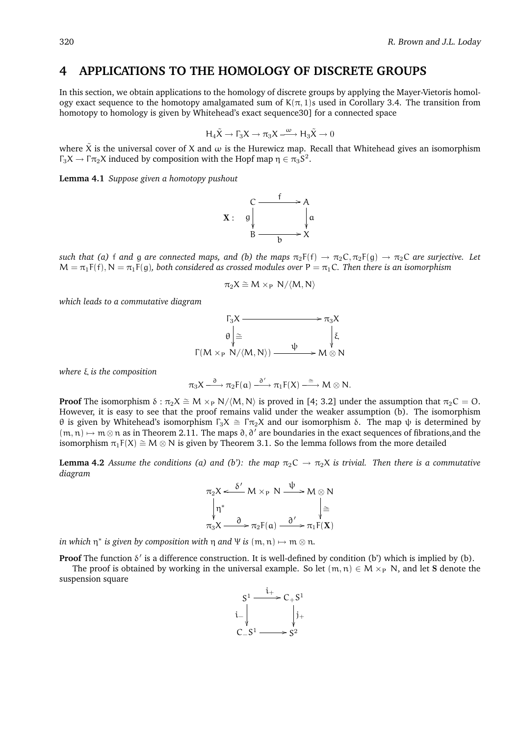### **4 APPLICATIONS TO THE HOMOLOGY OF DISCRETE GROUPS**

In this section, we obtain applications to the homology of discrete groups by applying the Mayer-Vietoris homology exact sequence to the homotopy amalgamated sum of  $K(\pi, 1)$ s used in Corollary 3.4. The transition from homotopy to homology is given by Whitehead's exact sequence30] for a connected space

$$
H_4\tilde{X}\to \Gamma_3 X\to \pi_3 X\stackrel{\omega}{\xrightarrow{\hspace*{1cm}}} H_3\tilde{X}\to 0
$$

where  $\tilde{X}$  is the universal cover of X and  $\omega$  is the Hurewicz map. Recall that Whitehead gives an isomorphism  $\Gamma_3 X \to \Gamma \pi_2 X$  induced by composition with the Hopf map  $\eta \in \pi_3 S^2$ .

**Lemma 4.1** *Suppose given a homotopy pushout*



*such that (a)* f *and* g *are connected maps, and (b) the maps*  $\pi_2F(f) \to \pi_2C$ ,  $\pi_2F(g) \to \pi_2C$  *are surjective. Let*  $M = \pi_1 F(f), N = \pi_1 F(g)$ , both considered as crossed modules over  $P = \pi_1 C$ . Then there is an isomorphism

$$
\pi_2 X \cong M \times_P N/\langle M, N \rangle
$$

*which leads to a commutative diagram*

$$
\begin{array}{ccc}\n\Gamma_3 \times & \longrightarrow & \pi_3 \times \\
\theta \downarrow \cong & & \downarrow \\
\Gamma(M \times_P N / \langle M, N \rangle) & \xrightarrow{\psi} & M \otimes N\n\end{array}
$$

*where* ξ *is the composition*

$$
\pi_3 X \stackrel{\partial}{\xrightarrow{\quad \quad}} \pi_2F(\mathfrak{a}) \stackrel{\partial'}{\xrightarrow{\quad \quad}} \pi_1F(X) \stackrel{\cong}{\xrightarrow{\quad \quad}} M \otimes N.
$$

**Proof** The isomorphism  $\delta : \pi_2 X \cong M \times_P N/(M,N)$  is proved in [4; 3.2] under the assumption that  $\pi_2 C = O$ . However, it is easy to see that the proof remains valid under the weaker assumption (b). The isomorphism θ is given by Whitehead's isomorphism Γ<sub>3</sub>X  $\cong$  Γπ<sub>2</sub>X and our isomorphism δ. The map ψ is determined by  $(m, n) \mapsto m \otimes n$  as in Theorem 2.11. The maps  $\partial$ ,  $\partial'$  are boundaries in the exact sequences of fibrations,and the isomorphism  $\pi_1F(X) \cong M \otimes N$  is given by Theorem 3.1. So the lemma follows from the more detailed

**Lemma 4.2** *Assume the conditions (a) and (b'): the map*  $\pi_2C \to \pi_2X$  *is trivial. Then there is a commutative diagram*

$$
\pi_2 X \xleftarrow{\delta'} M \times_P N \xrightarrow{\psi} M \otimes N
$$
  
\n
$$
\begin{array}{ccc}\n\downarrow & & \downarrow \\
\uparrow & & & \downarrow \\
\pi_3 X \xrightarrow{\delta} & \pi_2 F(\mathfrak{a}) \xrightarrow{\partial'} & \pi_1 F(\mathbf{X})\n\end{array}
$$

*in which*  $\eta^*$  *is given by composition with*  $\eta$  *and*  $\Psi$  *is*  $(m, n) \mapsto m \otimes n$ *.* 

**Proof** The function  $\delta'$  is a difference construction. It is well-defined by condition (b') which is implied by (b).

The proof is obtained by working in the universal example. So let  $(m, n) \in M \times_{P} N$ , and let S denote the suspension square

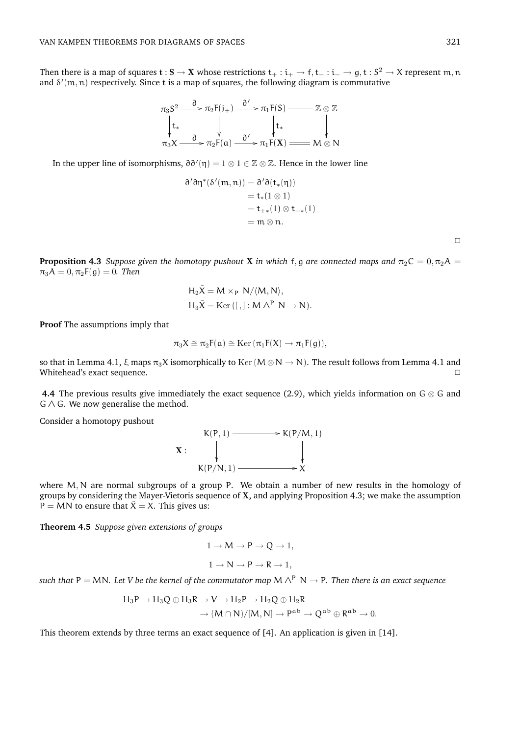Then there is a map of squares  $t:S\to X$  whose restrictions  $t_+:i_+\to f, t_-:i_-\to g, t:S^2\to X$  represent  $m,n$ and  $\delta'(m, n)$  respectively. Since t is a map of squares, the following diagram is commutative

$$
\pi_3 S^2 \xrightarrow{\partial} \pi_2 F(j_+) \xrightarrow{\partial'} \pi_1 F(S) \xrightarrow{\text{max}} \mathbb{Z} \otimes \mathbb{Z}
$$
\n
$$
\downarrow t_* \qquad \qquad \downarrow t_* \qquad \qquad \downarrow t_*
$$
\n
$$
\pi_3 X \xrightarrow{\partial} \pi_2 F(a) \xrightarrow{\partial'} \pi_1 F(X) \xrightarrow{\text{max}} M \otimes N
$$

In the upper line of isomorphisms,  $\partial \partial'(\eta) = 1 \otimes 1 \in \mathbb{Z} \otimes \mathbb{Z}$ . Hence in the lower line

$$
\partial' \partial \eta^* (\delta'(\mathfrak{m}, \mathfrak{n})) = \partial' \partial (\mathfrak{t}_*(\eta))
$$
  
=  $\mathfrak{t}_*(1 \otimes 1)$   
=  $\mathfrak{t}_{+*}(1) \otimes \mathfrak{t}_{-*}(1)$   
=  $\mathfrak{m} \otimes \mathfrak{n}$ .

**Proposition 4.3** *Suppose given the homotopy pushout* **X** *in which* f, g *are connected maps and*  $\pi_2 C = 0, \pi_2 A$  $\pi_3 A = 0, \pi_2 F(g) = 0$ . Then

$$
H_2\tilde{X} = M \times_P N/\langle M, N \rangle,
$$
  

$$
H_3\tilde{X} = \text{Ker}\left([,]: M \wedge^P N \to N\right).
$$

**Proof** The assumptions imply that

$$
\pi_3 X \cong \pi_2 F(\mathfrak{a}) \cong \mathrm{Ker}\, (\pi_1 F(X) \to \pi_1 F(\mathfrak{g})),
$$

so that in Lemma 4.1,  $\xi$  maps  $\pi_3X$  isomorphically to Ker(M⊗ N  $\rightarrow$  N). The result follows from Lemma 4.1 and Whitehead's exact sequence. ◯

**4.4** The previous results give immediately the exact sequence (2.9), which yields information on  $G \otimes G$  and  $G \wedge G$ . We now generalise the method.

Consider a homotopy pushout



where M, N are normal subgroups of a group P. We obtain a number of new results in the homology of groups by considering the Mayer-Vietoris sequence of X, and applying Proposition 4.3; we make the assumption  $P = MN$  to ensure that  $X = X$ . This gives us:

**Theorem 4.5** *Suppose given extensions of groups*

$$
1 \to M \to P \to Q \to 1,
$$
  

$$
1 \to N \to P \to R \to 1,
$$

*such that* P = MN. Let *V* be the kernel of the commutator map M  $\wedge^P$  N  $\rightarrow$  P. Then there is an exact sequence

$$
H_3P \to H_3Q \oplus H_3R \to V \to H_2P \to H_2Q \oplus H_2R
$$

$$
\to (M \cap N)/[M, N] \to P^{ab} \to Q^{ab} \oplus R^{ab} \to
$$

 $\theta$ .

This theorem extends by three terms an exact sequence of [4]. An application is given in [14].

 $\Box$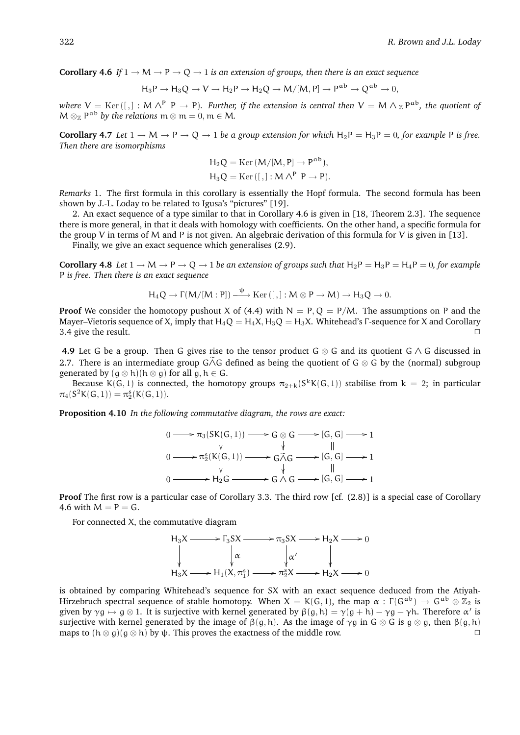**Corollary 4.6** *If*  $1 \rightarrow M \rightarrow P \rightarrow Q \rightarrow 1$  *is an extension of groups, then there is an exact sequence* 

$$
\text{H}_3\text{P} \rightarrow \text{H}_3\text{Q} \rightarrow \text{V} \rightarrow \text{H}_2\text{P} \rightarrow \text{H}_2\text{Q} \rightarrow M/[M,P] \rightarrow \text{P}^{ab} \rightarrow \text{Q}^{ab} \rightarrow 0,
$$

where  $V=$  K ${\rm er\,}([~,]:M\wedge^{\rm p}$   ${\rm P\,}\to$  P). *Further, if the extension is central then*  $V=M\wedge$   $_\Z$   ${\rm P}^{\rm ab}$ *, the quotient of*  $M \otimes_{\mathbb{Z}} P^{ab}$  *by the relations*  $m \otimes m = 0, m \in M$ .

**Corollary 4.7** *Let*  $1 \rightarrow M \rightarrow P \rightarrow Q \rightarrow 1$  *be a group extension for which*  $H_2P = H_3P = 0$ *, for example* P *is free. Then there are isomorphisms*

$$
H_2Q = \text{Ker}(M/[M, P] \to P^{ab}),
$$
  

$$
H_3Q = \text{Ker}\left([, ] : M \wedge^P P \to P\right).
$$

*Remarks* 1. The first formula in this corollary is essentially the Hopf formula. The second formula has been shown by J.-L. Loday to be related to Igusa's "pictures" [19].

2. An exact sequence of a type similar to that in Corollary 4.6 is given in [18, Theorem 2.3]. The sequence there is more general, in that it deals with homology with coefficients. On the other hand, a specific formula for the group V in terms of M and P is not given. An algebraic derivation of this formula for V is given in [13].

Finally, we give an exact sequence which generalises (2.9).

**Corollary 4.8** *Let*  $1 \to M \to P \to Q \to 1$  *be an extension of groups such that*  $H_2P = H_3P = H_4P = 0$ *, for example* P *is free. Then there is an exact sequence*

$$
H_4Q \to \Gamma(M/[M:P]) \stackrel{\psi}{\longrightarrow} \mathrm{Ker}\, ([\,,]: M \otimes P \to M) \to H_3Q \to 0.
$$

**Proof** We consider the homotopy pushout X of (4.4) with  $N = P, Q = P/M$ . The assumptions on P and the Mayer–Vietoris sequence of X, imply that  $H_4Q = H_4X$ ,  $H_3Q = H_3X$ . Whitehead's Γ-sequence for X and Corollary 3.4 give the result.  $\Box$ 

**4.9** Let G be a group. Then G gives rise to the tensor product G ⊗ G and its quotient G ∧ G discussed in 2.7. There is an intermediate group G∧G defined as being the quotient of G  $\otimes$  G by the (normal) subgroup generated by  $(g \otimes h)(h \otimes g)$  for all  $g, h \in G$ .

Because K(G, 1) is connected, the homotopy groups  $\pi_{2+k}(S^kK(G,1))$  stabilise from  $k=2$ ; in particular  $\pi_4(S^2\mathsf{K}(\mathsf{G},1)) = \pi_2^s(\mathsf{K}(\mathsf{G},1)).$ 

**Proposition 4.10** *In the following commutative diagram, the rows are exact:*

$$
0 \longrightarrow \pi_3(SK(G,1)) \longrightarrow G \otimes G \longrightarrow [G,G] \longrightarrow 1
$$
  
\n
$$
0 \longrightarrow \pi_2^s(K(G,1)) \longrightarrow G \widetilde{\wedge} G \longrightarrow [G,G] \longrightarrow 1
$$
  
\n
$$
0 \longrightarrow H_2G \longrightarrow G \wedge G \longrightarrow [G,G] \longrightarrow 1
$$
  
\n
$$
0 \longrightarrow H_2G \longrightarrow G \wedge G \longrightarrow [G,G] \longrightarrow 1
$$

**Proof** The first row is a particular case of Corollary 3.3. The third row [cf. (2.8)] is a special case of Corollary 4.6 with  $M = P = G$ .

For connected X, the commutative diagram

$$
H_3X \longrightarrow \Gamma_3SX \longrightarrow \pi_3SX \longrightarrow H_2X \longrightarrow 0
$$
  
\n
$$
\downarrow \alpha \qquad \qquad \downarrow \alpha' \qquad \qquad \downarrow
$$
  
\n
$$
H_3X \longrightarrow H_1(X, \pi_1^s) \longrightarrow \pi_2^sX \longrightarrow H_2X \longrightarrow 0
$$

is obtained by comparing Whitehead's sequence for SX with an exact sequence deduced from the Atiyah-Hirzebruch spectral sequence of stable homotopy. When  $X = K(G, 1)$ , the map  $\alpha : \Gamma(G^{ab}) \to G^{ab} \otimes \mathbb{Z}_2$  is given by  $\gamma g \mapsto g \otimes 1$ . It is surjective with kernel generated by  $\beta(g, h) = \gamma(g + h) - \gamma g - \gamma h$ . Therefore  $\alpha'$  is surjective with kernel generated by the image of  $\beta(q, h)$ . As the image of  $\gamma q$  in G  $\otimes$  G is  $q \otimes q$ , then  $\beta(q, h)$ maps to  $(h \otimes g)(g \otimes h)$  by  $\psi$ . This proves the exactness of the middle row.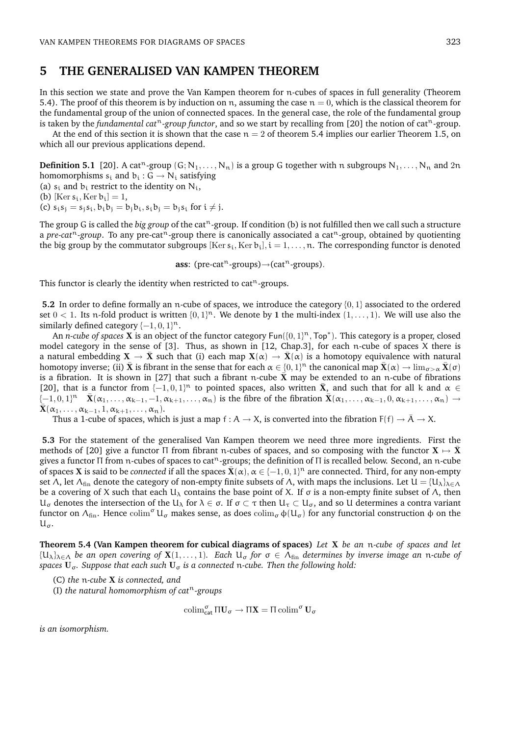### **5 THE GENERALISED VAN KAMPEN THEOREM**

In this section we state and prove the Van Kampen theorem for n-cubes of spaces in full generality (Theorem 5.4). The proof of this theorem is by induction on n, assuming the case  $n = 0$ , which is the classical theorem for the fundamental group of the union of connected spaces. In the general case, the role of the fundamental group is taken by the *fundamental cat<sup>n</sup>-group functor*, and so we start by recalling from [20] the notion of cat<sup>n</sup>-group.

At the end of this section it is shown that the case  $n = 2$  of theorem 5.4 implies our earlier Theorem 1.5, on which all our previous applications depend.

**Definition 5.1** [20]. A cat<sup>n</sup>-group  $(G; N_1, \ldots, N_n)$  is a group G together with n subgroups  $N_1, \ldots, N_n$  and  $2n$ homomorphisms  $s_i$  and  $b_i$  :  $G \rightarrow N_i$  satisfying

(a)  $s_i$  and  $b_i$  restrict to the identity on  $N_i$ ,

(b) [Ker  $s_i$ , Ker  $b_i$ ] = 1,

(c)  $s_i s_j = s_j s_i, b_i b_j = b_j b_i, s_i b_j = b_j s_i$  for  $i \neq j$ .

The group G is called the *big group* of the cat<sup>n</sup>-group. If condition (b) is not fulfilled then we call such a structure a *pre-cat*<sup>n</sup>-group. To any pre-cat<sup>n</sup>-group there is canonically associated a cat<sup>n</sup>-group, obtained by quotienting the big group by the commutator subgroups  $Ker s_i, Ker b_i$ ,  $i = 1, ..., n$ . The corresponding functor is denoted

**ass**: (pre-cat<sup>n</sup>-groups) $\rightarrow$ (cat<sup>n</sup>-groups).

This functor is clearly the identity when restricted to cat<sup>n</sup>-groups.

**5.2** In order to define formally an n-cube of spaces, we introduce the category {0, 1} associated to the ordered set  $0 < 1$ . Its n-fold product is written  $\{0, 1\}^n$ . We denote by 1 the multi-index  $(1, \ldots, 1)$ . We will use also the similarly defined category  $\{-1, 0, 1\}^n$ .

An *n-cube of spaces* **X** is an object of the functor category Fun({0, 1}<sup>n</sup>, Top<sup>∗</sup>). This category is a proper, closed model category in the sense of [3]. Thus, as shown in [12, Chap.3], for each n-cube of spaces X there is a natural embedding  $X \to \bar{X}$  such that (i) each map  $X(\alpha) \to \bar{X}(\alpha)$  is a homotopy equivalence with natural homotopy inverse; (ii)  $\bar{\bf X}$  is fibrant in the sense that for each  $\alpha \in \{0,1\}^n$  the canonical map  $\bar{\bf X}(\alpha)\to \lim_{\sigma>\alpha} \bar{\bf X}(\sigma)$ is a fibration. It is shown in [27] that such a fibrant n-cube  $\bar{X}$  may be extended to an n-cube of fibrations [20], that is a functor from  $\{-1,0,1\}^n$  to pointed spaces, also written  $\bar{X}$ , and such that for all k and  $\alpha \in$  $\overline{X}(-1,0,1]$ <sup>n</sup>  $\overline{X}(\alpha_1,\ldots,\alpha_{k-1},-1,\alpha_{k+1},\ldots,\alpha_n)$  is the fibre of the fibration  $\overline{X}(\alpha_1,\ldots,\alpha_{k-1},0,\alpha_{k+1},\ldots,\alpha_n) \rightarrow$  $\bar{\mathbf{X}}(\alpha_1,\ldots,\alpha_{k-1},1,\alpha_{k+1},\ldots,\alpha_n).$ 

Thus a 1-cube of spaces, which is just a map f :  $A \to X$ , is converted into the fibration  $F(f) \to \bar{A} \to X$ .

**5.3** For the statement of the generalised Van Kampen theorem we need three more ingredients. First the methods of [20] give a functor Π from fibrant n-cubes of spaces, and so composing with the functor  $X \mapsto \bar{X}$ gives a functor Π from n-cubes of spaces to cat<sup>n</sup>-groups; the definition of Π is recalled below. Second, an n-cube of spaces **X** is said to be *connected* if all the spaces  $\bar{\mathbf{X}}(\alpha)$ ,  $\alpha \in \{-1,0,1\}^n$  are connected. Third, for any non-empty set Λ, let  $\Lambda_{fin}$  denote the category of non-empty finite subsets of Λ, with maps the inclusions. Let  $U = \{U_\lambda\}_{\lambda \in \Lambda}$ be a covering of X such that each  $U_λ$  contains the base point of X. If  $σ$  is a non-empty finite subset of  $Λ$ , then  $U_{\sigma}$  denotes the intersection of the U<sub>λ</sub> for λ ∈ σ. If σ ⊂ τ then U<sub>τ</sub> ⊂ U<sub>σ</sub>, and so U determines a contra variant functor on  $\Lambda_{fin}$ . Hence colim<sup>σ</sup> U<sub>σ</sub> makes sense, as does colim<sub>σ</sub>  $\phi(U_\sigma)$  for any functorial construction φ on the  $\mathsf{u}_{\sigma}$ .

**Theorem 5.4 (Van Kampen theorem for cubical diagrams of spaces)** *Let* X *be an* n*-cube of spaces and let*  ${U_{\lambda}}_{\lambda \in \Lambda}$  *be an open covering of*  $X(1,\ldots,1)$ *. Each*  $U_{\sigma}$  *for*  $\sigma \in \Lambda_{fin}$  *determines by inverse image an n-cube of spaces* **U**<sub>σ</sub>. Suppose that each such **U**<sub>σ</sub> is a connected n-cube. Then the following hold:

- (C) *the* n*-cube* X *is connected, and*
- (I) *the natural homomorphism of cat*<sup>n</sup>*-groups*

$$
\operatorname{colim}_{\mathsf{cat}}^\sigma \Pi U_\sigma \to \Pi X = \Pi \operatorname{colim}^\sigma U_\sigma
$$

*is an isomorphism.*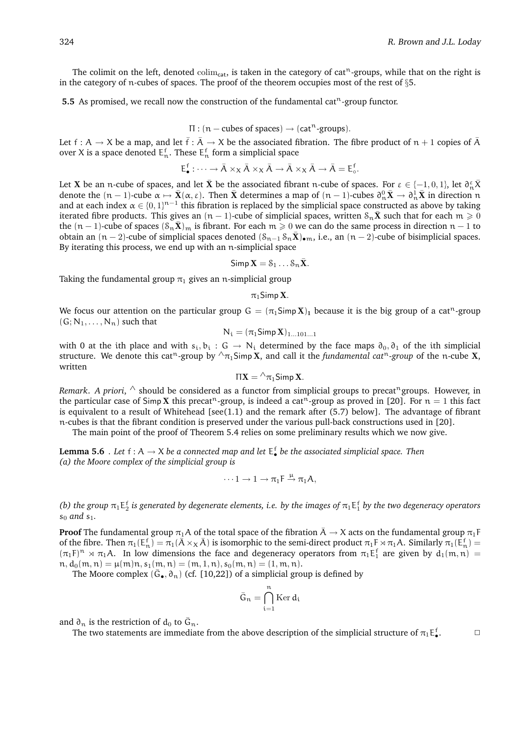$\Box$ 

The colimit on the left, denoted colim<sub>cat</sub>, is taken in the category of cat<sup>n</sup>-groups, while that on the right is in the category of n-cubes of spaces. The proof of the theorem occupies most of the rest of §5.

**5.5** As promised, we recall now the construction of the fundamental cat<sup>n</sup>-group functor.

$$
\Pi : (n - cubes of spaces) \to (catn-groups).
$$

Let f : A  $\to$  X be a map, and let  $\bar{f}$  :  $\bar{A}$   $\to$  X be the associated fibration. The fibre product of  $n + 1$  copies of  $\bar{A}$ over X is a space denoted  $E_n^f$ . These  $E_n^f$  form a simplicial space

$$
E_{\bullet}^f: \cdots \to \bar{A} \times_X \bar{A} \times_X \bar{A} \to \bar{A} \times_X \bar{A} \to \bar{A} = E_{\circ}^f.
$$

Let **X** be an n-cube of spaces, and let  $\bar{\bf X}$  be the associated fibrant n-cube of spaces. For  $\varepsilon \in \{-1,0,1\}$ , let  $\partial_n^{\varepsilon} \bar{X}$ denote the  $(n-1)$ -cube  $\alpha \mapsto \bar{\mathbf{X}}(\alpha, \varepsilon)$ . Then  $\bar{\mathbf{X}}$  determines a map of  $(n-1)$ -cubes  $\partial_n^0 \bar{\mathbf{X}} \to \partial_n^1 \bar{\mathbf{X}}$  in direction n and at each index  $\alpha \in \{0,1\}^{n-1}$  this fibration is replaced by the simplicial space constructed as above by taking iterated fibre products. This gives an  $(n - 1)$ -cube of simplicial spaces, written  $S_n\bar{X}$  such that for each  $m \geq 0$ the  $(n-1)$ -cube of spaces  $(\mathcal{S}_n\bar{\mathbf{X}})_m$  is fibrant. For each  $m \geq 0$  we can do the same process in direction  $n-1$  to obtain an  $(n-2)$ -cube of simplicial spaces denoted  $(\mathcal{S}_{n-1} \mathcal{S}_n \bar{\mathbf{X}})_{\bullet m}$ , i.e., an  $(n-2)$ -cube of bisimplicial spaces. By iterating this process, we end up with an n-simplicial space

 $Simp X = S_1 \dots S_n \overline{X}$ .

Taking the fundamental group  $\pi_1$  gives an n-simplicial group

 $\pi_1$ Simp **X**.

We focus our attention on the particular group  $G = (\pi_1 \text{Simp X})_1$  because it is the big group of a cat<sup>n</sup>-group  $(G; N_1, \ldots, N_n)$  such that

$$
N_i=(\pi_1\text{Simp}\,\mathbf{X})_{1...101...1}
$$

with 0 at the ith place and with  $s_i, b_i : G \to N_i$  determined by the face maps  $\partial_0, \partial_1$  of the ith simplicial structure. We denote this cat<sup>n</sup>-group by  $\wedge_{\pi_1}$ Simp X, and call it the *fundamental cat<sup>n</sup>-group* of the n-cube X, written

$$
\Pi \mathbf{X} = {}^{\wedge} \pi_1 \mathsf{Simp}\, \mathbf{X}.
$$

*Remark. A priori,* ∧ should be considered as a functor from simplicial groups to precat<sup>n</sup>groups. However, in the particular case of Simp X this precat<sup>n</sup>-group, is indeed a cat<sup>n</sup>-group as proved in [20]. For  $n = 1$  this fact is equivalent to a result of Whitehead [see(1.1) and the remark after (5.7) below]. The advantage of fibrant n-cubes is that the fibrant condition is preserved under the various pull-back constructions used in [20].

The main point of the proof of Theorem 5.4 relies on some preliminary results which we now give.

**Lemma 5.6** . Let  $f : A \to X$  be a connected map and let  $E_{\bullet}^f$  be the associated simplicial space. Then *(a) the Moore complex of the simplicial group is*

$$
\cdots 1 \to 1 \to \pi_1 F \stackrel{\mu}{\to} \pi_1 A,
$$

*(b)* the group  $\pi_1E_2^f$  is generated by degenerate elements, i.e. by the images of  $\pi_1E_1^f$  by the two degeneracy operators  $s_0$  *and*  $s_1$ .

**Proof** The fundamental group  $\pi_1 A$  of the total space of the fibration  $\bar{A} \to X$  acts on the fundamental group  $\pi_1 F$ of the fibre. Then  $\pi_1(E_n^f) = \pi_1(\bar{A} \times_X \bar{A})$  is isomorphic to the semi-direct product  $\pi_1 F \rtimes \pi_1 A$ . Similarly  $\pi_1(E_n^f) =$  $(\pi_1 F)^n \rtimes \pi_1 A$ . In low dimensions the face and degeneracy operators from  $\pi_1 E_1^f$  are given by  $d_1(m, n)$  =  $n, d_0(m, n) = \mu(m)n, s_1(m, n) = (m, 1, n), s_0(m, n) = (1, m, n).$ 

The Moore complex  $(\bar{G}_\bullet, \partial_n)$  (cf. [10,22]) of a simplicial group is defined by

$$
\bar{G}_n = \bigcap_{i=1}^n \mathrm{Ker}\, d_i
$$

and  $\partial_n$  is the restriction of  $d_0$  to  $\bar{G}_n$ .

The two statements are immediate from the above description of the simplicial structure of  $\pi_1{\rm E}^\texttt{f}_\bullet$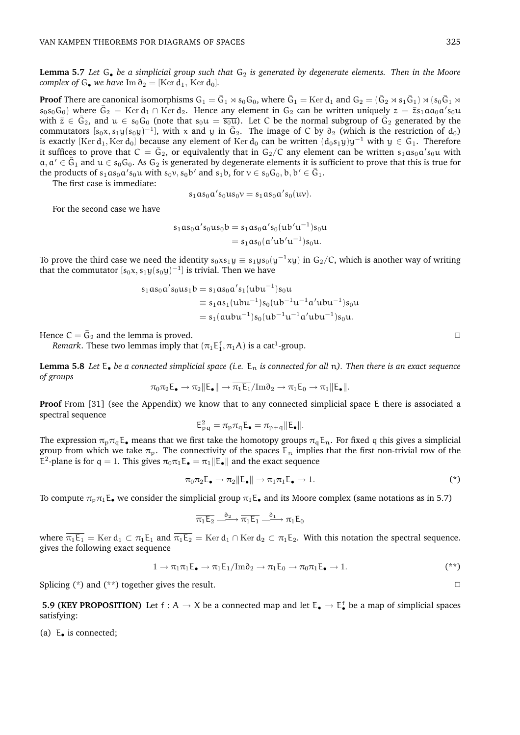**Lemma 5.7** Let G<sub>•</sub> be a simplicial group such that G<sub>2</sub> is generated by degenerate elements. Then in the Moore *complex of*  $G_{\bullet}$  *we have* Im  $\partial_2 = [\text{Ker } d_1, \text{ Ker } d_0]$ *.* 

**Proof** There are canonical isomorphisms  $G_1 = \bar{G}_1 \rtimes s_0 G_0$ , where  $\bar{G}_1 =$  Ker  $d_1$  and  $G_2 = (\bar{G}_2 \rtimes s_1 \bar{G}_1) \rtimes (s_0 \bar{G}_1 \rtimes s_1 \bar{G}_2)$  $s_0s_0G_0$ ) where  $\bar{G}_2 =$  Ker  $d_1 \cap$  Ker  $d_2$ . Hence any element in  $G_2$  can be written uniquely  $z = \bar{z}s_1a a_0a's_0u$ with  $\bar{z} \in \bar{G}_2$ , and  $u \in s_0 \bar{G}_0$  (note that  $s_0u = \overline{s_0u}$ ). Let C be the normal subgroup of  $\bar{G}_2$  generated by the commutators  $[s_0x, s_1y(s_0y)^{-1}]$ , with x and y in  $\overline{G}_2$ . The image of C by  $\partial_2$  (which is the restriction of d<sub>0</sub>) is exactly [Ker d<sub>1</sub>, Ker d<sub>0</sub>] because any element of Ker d<sub>0</sub> can be written  $(d_0s_1y)y^{-1}$  with  $y \in \bar{G}_1$ . Therefore it suffices to prove that  $C = \bar{G}_2$ , or equivalently that in  $G_2/C$  any element can be written  $s_1as_0a's_0u$  with  $a, a' \in \bar{G}_1$  and  $u \in s_0G_0$ . As  $G_2$  is generated by degenerate elements it is sufficient to prove that this is true for the products of  $s_1 a s_0 a' s_0 u$  with  $s_0 v, s_0 b'$  and  $s_1 b$ , for  $v \in s_0 G_0$ ,  $b, b' \in \overline{G}_1$ .

The first case is immediate:

 $s_1 a s_0 a' s_0 u s_0 v = s_1 a s_0 a' s_0(uv).$ 

For the second case we have

 $s_1$ a $s_0$ a $'s_0$ u $s_0$ b =  $s_1$ a $s_0$ a $'s_0$ (ub $'u^{-1}$ ) $s_0$ u  $= s_1 a s_0 (a' u b' u^{-1}) s_0 u.$ 

To prove the third case we need the identity  $s_0xs_1y\equiv s_1ys_0(y^{-1}xy)$  in  $\mathsf{G}_2/\mathsf{C}$ , which is another way of writing that the commutator  $[s_0x, s_1y(s_0y)^{-1}]$  is trivial. Then we have

$$
s_1 a s_0 a' s_0 u s_1 b = s_1 a s_0 a' s_1 (ubu^{-1}) s_0 u
$$
  
\n
$$
\equiv s_1 a s_1 (ubu^{-1}) s_0 (ub^{-1} u^{-1} a' ubu^{-1}) s_0 u
$$
  
\n
$$
= s_1 (aubu^{-1}) s_0 (ub^{-1} u^{-1} a' ubu^{-1}) s_0 u.
$$

Hence  $C = \bar{G}_2$  and the lemma is proved.

*Remark*. These two lemmas imply that  $(\pi_1 \mathsf{E}_1^\mathsf{f}, \pi_1 \mathsf{A})$  is a cat<sup>1</sup>-group.

**Lemma 5.8** Let  $E_{\bullet}$  be a connected simplicial space (i.e.  $E_n$  is connected for all n). Then there is an exact sequence *of groups*

$$
\pi_0 \pi_2 \mathsf{E}_{\bullet} \to \pi_2 \|\mathsf{E}_{\bullet}\| \to \overline{\pi_1 \mathsf{E}_1}/\mathrm{Im} \delta_2 \to \pi_1 \mathsf{E}_0 \to \pi_1 \|\mathsf{E}_{\bullet}\|.
$$

**Proof** From [31] (see the Appendix) we know that to any connected simplicial space E there is associated a spectral sequence

$$
E_{pq}^2 = \pi_p \pi_q E_{\bullet} = \pi_{p+q} ||E_{\bullet}||.
$$

The expression  $\pi_p \pi_q \mathsf{E}_\bullet$  means that we first take the homotopy groups  $\pi_q \mathsf{E}_n$ . For fixed q this gives a simplicial group from which we take  $\pi_p$ . The connectivity of the spaces  $E_n$  implies that the first non-trivial row of the E<sup>2</sup>-plane is for q = 1. This gives  $\pi_0 \pi_1 E_{\bullet} = \pi_1 ||E_{\bullet}||$  and the exact sequence

$$
\pi_0 \pi_2 \mathsf{E}_{\bullet} \to \pi_2 \|\mathsf{E}_{\bullet}\| \to \pi_1 \pi_1 \mathsf{E}_{\bullet} \to 1. \tag{*}
$$

To compute  $\pi_p \pi_1 E_{\bullet}$  we consider the simplicial group  $\pi_1 E_{\bullet}$  and its Moore complex (same notations as in 5.7)

$$
\overline{\pi_1 E_2} \stackrel{\partial_2}{\xrightarrow{\hspace*{1.5cm}}} \overline{\pi_1 E_1} \stackrel{\partial_1}{\xrightarrow{\hspace*{1.5cm}}} \pi_1 E_0
$$

where  $\overline{\pi_1 \mathsf{E}_1} = \text{Ker } d_1 \subset \pi_1 \mathsf{E}_1$  and  $\overline{\pi_1 \mathsf{E}_2} = \text{Ker } d_1 \cap \text{Ker } d_2 \subset \pi_1 \mathsf{E}_2$ . With this notation the spectral sequence. gives the following exact sequence

$$
1 \to \pi_1 \pi_1 E_{\bullet} \to \pi_1 E_1 / \text{Im} \partial_2 \to \pi_1 E_0 \to \pi_0 \pi_1 E_{\bullet} \to 1.
$$
 
$$
(**)
$$

Splicing  $(*)$  and  $(**)$  together gives the result.

**5.9 (KEY PROPOSITION)** Let  $f : A \to X$  be a connected map and let  $E_{\bullet} \to E_{\bullet}^f$  be a map of simplicial spaces satisfying:

(a)  $E_{\bullet}$  is connected;

$$
\Box
$$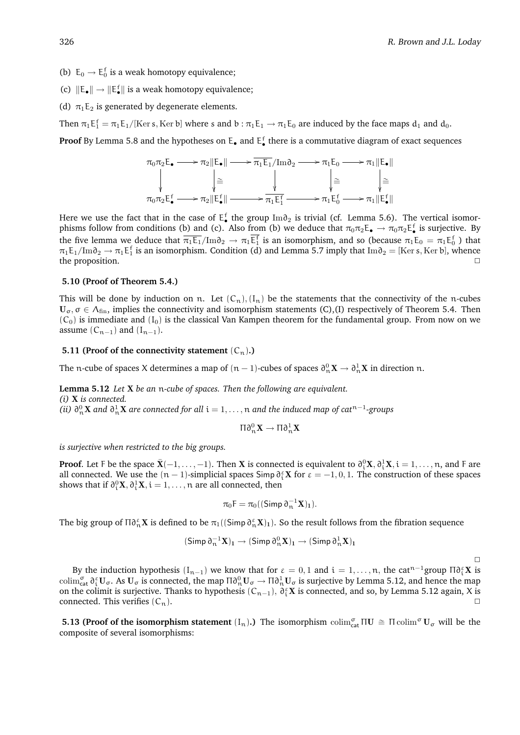$\Box$ 

- (b)  $E_0 \rightarrow E_0^f$  is a weak homotopy equivalence;
- (c)  $\|\mathsf{E}_\bullet\| \to \|\mathsf{E}_\bullet^{\mathsf{f}}\|$  is a weak homotopy equivalence;
- (d)  $\pi_1E_2$  is generated by degenerate elements.

Then  $\pi_1 E_1^f = \pi_1 E_1/$  [Ker s, Ker b] where s and b :  $\pi_1 E_1 \to \pi_1 E_0$  are induced by the face maps  $d_1$  and  $d_0$ .

**Proof** By Lemma 5.8 and the hypotheses on  $E_{\bullet}$  and  $E_{\bullet}^f$  there is a commutative diagram of exact sequences

$$
\pi_0 \pi_2 E_{\bullet} \longrightarrow \pi_2 \|\mathsf{E}_{\bullet}\| \longrightarrow \overline{\pi_1 \mathsf{E}_1}/\mathrm{Im} \partial_2 \longrightarrow \pi_1 \mathsf{E}_0 \longrightarrow \pi_1 \|\mathsf{E}_{\bullet}\|
$$
\n
$$
\downarrow \cong \qquad \qquad \downarrow \cong \qquad \qquad \downarrow \cong \qquad \qquad \downarrow \cong
$$
\n
$$
\pi_0 \pi_2 \mathsf{E}_{\bullet}^f \longrightarrow \pi_2 \|\mathsf{E}_{\bullet}^f\| \longrightarrow \pi_1 \mathsf{E}_1^f \longrightarrow \pi_1 \mathsf{E}_0^f \longrightarrow \pi_1 \|\mathsf{E}_{\bullet}^f\|
$$

Here we use the fact that in the case of  $E_{\bullet}^{f}$  the group Im $\partial_2$  is trivial (cf. Lemma 5.6). The vertical isomorphisms follow from conditions (b) and (c). Also from (b) we deduce that  $\pi_0\pi_2E_\bullet \to \pi_0\pi_2E_\bullet^f$  is surjective. By the five lemma we deduce that  $\overline{\pi_1E_1}/\text{Im}\theta_2 \to \pi_1E_1^f$  is an isomorphism, and so (because  $\pi_1E_0 = \pi_1E_0^f$ ) that  $\pi_1E_1/Im\partial_2\to \pi_1E_1^f$  is an isomorphism. Condition (d) and Lemma 5.7 imply that Im $\partial_2=[\mathrm{Ker\,} s,\mathrm{Ker\,} b],$  whence the proposition.

#### **5.10 (Proof of Theorem 5.4.)**

This will be done by induction on n. Let  $(C_n)$ ,  $(I_n)$  be the statements that the connectivity of the n-cubes  $U_{\sigma}$ ,  $\sigma \in A_{fin}$ , implies the connectivity and isomorphism statements (C),(I) respectively of Theorem 5.4. Then  $(C_0)$  is immediate and  $(I_0)$  is the classical Van Kampen theorem for the fundamental group. From now on we assume  $(C_{n-1})$  and  $(I_{n-1})$ .

#### **5.11 (Proof of the connectivity statement**  $(C_n)$ .)

The n-cube of spaces X determines a map of  $(n-1)$ -cubes of spaces  $\partial^0_n\mathbf{X}\to\partial^1_n\mathbf{X}$  in direction  $\mathfrak{n}.$ 

**Lemma 5.12** *Let* X *be an* n*-cube of spaces. Then the following are equivalent. (i)* X *is connected. (ii)*  $\partial^0_n X$  *and*  $\partial^1_n X$  *are connected for all*  $i = 1, ..., n$  *and the induced map of cat*<sup>n−1</sup>-groups

$$
\Pi\partial^0_n\mathbf{X}\to \Pi\partial^1_n\mathbf{X}
$$

*is surjective when restricted to the big groups.*

**Proof.** Let F be the space  $\bar{\mathbf{X}}(-1,\ldots,-1)$ . Then X is connected is equivalent to  $\partial_i^0\mathbf{X},\partial_i^1\mathbf{X},i=1,\ldots,n$ , and F are all connected. We use the  $(n-1)$ -simplicial spaces Simp  $\partial_i^{\varepsilon} X$  for  $\varepsilon = -1, 0, 1$ . The construction of these spaces shows that if  $\partial_i^0 \mathbf{X}, \partial_i^1 \mathbf{X}, i = 1, \ldots, n$  are all connected, then

$$
\pi_0 F = \pi_0((\mathsf{Simp}\,\partial_n^{-1}\mathbf{X})_1).
$$

The big group of  $\Pi\delta_n^{\varepsilon}X$  is defined to be  $\pi_1((\textsf{Simp}\,\delta_n^{\varepsilon}X)_1)$ . So the result follows from the fibration sequence

$$
(\mathsf{Simp}\,\partial_n^{-1}\mathbf{X})_1\rightarrow (\mathsf{Simp}\,\partial_n^0\mathbf{X})_1\rightarrow (\mathsf{Simp}\,\partial_n^1\mathbf{X})_1
$$

By the induction hypothesis  $(I_{n-1})$  we know that for  $\varepsilon = 0, 1$  and  $i = 1, ..., n$ , the cat<sup>n-1</sup>group  $\Pi \partial_i^{\varepsilon} X$  is colim $\int_{\text{cat}}^{\sigma} \partial_t^{\varepsilon} U_{\sigma}$ . As  $U_{\sigma}$  is connected, the map  $\Pi \partial_n^0 U_{\sigma} \to \Pi \partial_n^1 U_{\sigma}$  is surjective by Lemma 5.12, and hence the map on the colimit is surjective. Thanks to hypothesis ( $C_{n-1}$ ),  $\delta_i^{\varepsilon}X$  is connected, and so, by Lemma 5.12 again, X is connected. This verifies  $(C_n)$ .

**5.13 (Proof of the isomorphism statement**  $(I_n)$ **.) The isomorphism**  $\text{colim}_{\text{cat}}^{\sigma} \Pi U \cong \Pi \text{colim}^{\sigma} U_{\sigma}$  **will be the** composite of several isomorphisms: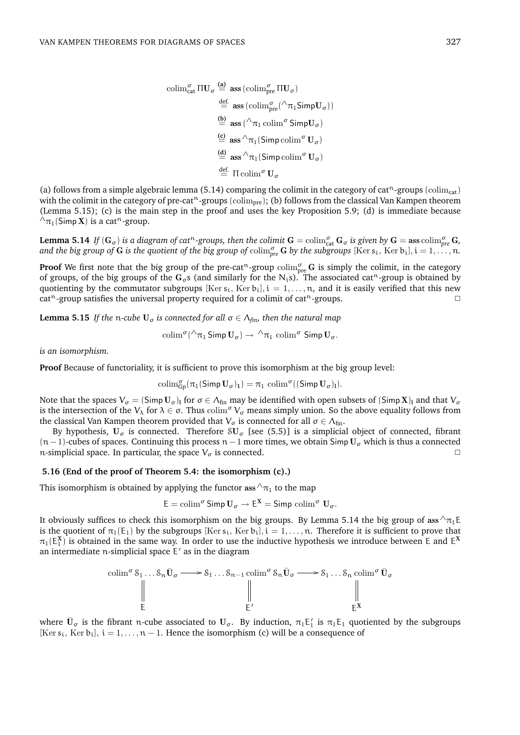$$
\begin{aligned}\n\operatorname{colim}^{\sigma}_{\mathsf{cat}} \Pi \mathbf{U}_{\sigma} &\stackrel{\text{(a)}}{=} \ \mathbf{ass}\left(\operatorname{colim}^{\sigma}_{\text{pre}} \Pi \mathbf{U}_{\sigma}\right) \\
&\stackrel{\text{def.}}{=} \ \mathbf{ass}\left(\operatorname{colim}^{\sigma}_{\text{pre}}(\wedge \pi_{1} \mathsf{Simp} \mathbf{U}_{\sigma})\right) \\
&\stackrel{\text{(b)}}{=} \ \mathbf{ass}\left(\wedge \pi_{1} \operatorname{colim}^{\sigma} \mathsf{Simp} \mathbf{U}_{\sigma}\right) \\
&\stackrel{\text{(c)}}{=} \ \mathbf{ass}\wedge \pi_{1}(\mathsf{Simp}\operatorname{colim}^{\sigma} \mathbf{U}_{\sigma}) \\
&\stackrel{\text{(d)}}{=} \ \mathbf{ass}\wedge \pi_{1}(\mathsf{Simp}\operatorname{colim}^{\sigma} \mathbf{U}_{\sigma}) \\
&\stackrel{\text{def.}}{=} \ \Pi \operatorname{colim}^{\sigma} \mathbf{U}_{\sigma}\n\end{aligned}
$$

(a) follows from a simple algebraic lemma (5.14) comparing the colimit in the category of cat<sup>n</sup>-groups (colim<sub>cat</sub>) with the colimit in the category of pre-cat<sup>n</sup>-groups (colim<sub>pre</sub>); (b) follows from the classical Van Kampen theorem (Lemma 5.15); (c) is the main step in the proof and uses the key Proposition 5.9; (d) is immediate because  $\wedge_{\pi_1}$ (Simp **X**) is a cat<sup>n</sup>-group.

**Lemma 5.14** If  $(G_{\sigma})$  is a diagram of cat<sup>n</sup>-groups, then the colimit  $G = \operatorname{colim}^{\sigma}_{\textsf{cat}} G_{\sigma}$  is given by  $G = \operatorname{ass} \operatorname{colim}^{\sigma}_{\textsf{pre}} G$ , and the big group of **G** is the quotient of the big group of  $\text{colim}_{\text{pre}}^{\sigma}$  **G** by the subgroups  $[\text{Ker } s_i, \text{Ker } b_i], i = 1, \ldots, n$ .

**Proof** We first note that the big group of the pre-cat<sup>n</sup>-group  $\text{colim}_{\text{pre}}^{\sigma} G$  is simply the colimit, in the category of groups, of the big groups of the  $G_{\sigma}s$  (and similarly for the N<sub>i</sub>s). The associated cat<sup>n</sup>-group is obtained by quotienting by the commutator subgroups [Ker  $s_i$ , Ker  $b_i$ ],  $i = 1, ..., n$ , and it is easily verified that this new cat<sup>n</sup>-group satisfies the universal property required for a colimit of cat<sup>n</sup>-groups.

**Lemma 5.15** *If the n-cube*  $U_{\sigma}$  *is connected for all*  $\sigma \in \Lambda_{fin}$ *, then the natural map* 

$$
\mathrm{colim}^\sigma(\wedge_{\pi_1} \mathsf{Simp}\, U_\sigma) \to \wedge_{\pi_1} \mathrm{colim}^\sigma \, \mathsf{Simp}\, U_\sigma.
$$

*is an isomorphism.*

**Proof** Because of functoriality, it is sufficient to prove this isomorphism at the big group level:

$$
\mathrm{colim}^{\sigma}_{Gp}(\pi_1(\mathsf{Simp}\,U_{\sigma})_1)=\pi_1\,\, \mathrm{colim}^{\sigma}((\mathsf{Simp}\,U_{\sigma})_l).
$$

Note that the spaces  $V_{\sigma} = (\text{Simp } U_{\sigma})_l$  for  $\sigma \in \Lambda_{fin}$  may be identified with open subsets of  $(\text{Simp } X)_l$  and that  $V_{\sigma}$ is the intersection of the  $V_\lambda$  for  $\lambda \in \sigma$ . Thus  $\text{colim}^{\sigma} V_\sigma$  means simply union. So the above equality follows from the classical Van Kampen theorem provided that  $V_{\sigma}$  is connected for all  $\sigma \in \Lambda_{fin}$ .

By hypothesis,  $U_{\sigma}$  is connected. Therefore  $SU_{\sigma}$  [see (5.5)] is a simplicial object of connected, fibrant  $(n-1)$ -cubes of spaces. Continuing this process n – 1 more times, we obtain Simp U<sub>σ</sub> which is thus a connected n-simplicial space. In particular, the space  $V_{\sigma}$  is connected.  $\Box$ 

#### **5.16 (End of the proof of Theorem 5.4: the isomorphism (c).)**

This isomorphism is obtained by applying the functor ass  $\wedge_{\pi_1}$  to the map

$$
E = \operatorname{colim}^{\sigma} \operatorname{\mathsf{Simp}} U_{\sigma} \to E^{X} = \operatorname{\mathsf{Simp}} \operatorname{colim}^{\sigma} U_{\sigma}.
$$

It obviously suffices to check this isomorphism on the big groups. By Lemma 5.14 the big group of ass  $^{\wedge}\pi_1E$ is the quotient of  $\pi_1(E_1)$  by the subgroups  $[Ker s_i, Ker b_i], i = 1, \ldots, n$ . Therefore it is sufficient to prove that  $\pi_1(E_1^X)$  is obtained in the same way. In order to use the inductive hypothesis we introduce between E and  $E^X$ an intermediate  $n$ -simplicial space  $E'$  as in the diagram

$$
\operatorname{colim}^{\sigma} \mathcal{S}_{1} \dots \mathcal{S}_{n} \bar{U}_{\sigma} \longrightarrow \mathcal{S}_{1} \dots \mathcal{S}_{n-1} \operatorname{colim}^{\sigma} \mathcal{S}_{n} \bar{U}_{\sigma} \longrightarrow \mathcal{S}_{1} \dots \mathcal{S}_{n} \operatorname{colim}^{\sigma} \bar{U}_{\sigma}
$$
\n
$$
\parallel \qquad \qquad \parallel \qquad \qquad \parallel
$$
\n
$$
E'
$$
\n
$$
\mathcal{E}^{X}
$$

where  $\bar{U}_\sigma$  is the fibrant n-cube associated to  $U_\sigma$ . By induction,  $\pi_1E_1'$  is  $\pi_1E_1$  quotiented by the subgroups [Ker  $s_i$ , Ker  $b_i$ ],  $i = 1, ..., n - 1$ . Hence the isomorphism (c) will be a consequence of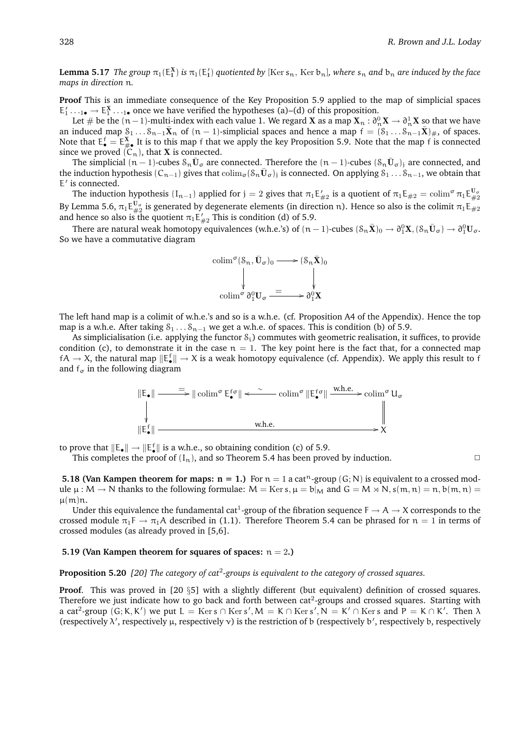${\tt Lemma~5.17}$   ${\it The \ group }$   $\pi_1(\mathsf{E}_1^X)$  is  $\pi_1(\mathsf{E}_1')$  quotiented by [Ker s $_{\frak n},$  Ker b $_{\frak n}$ ], where s $_{\frak n}$  and b $_{\frak n}$  are induced by the face *maps in direction* n*.*

**Proof** This is an immediate consequence of the Key Proposition 5.9 applied to the map of simplicial spaces  $E'_1 \dots_{1\bullet} \to E_1^X \dots_{1\bullet}$  once we have verified the hypotheses (a)–(d) of this proposition.

Let  $\#$  be the  $(n-1)$ -multi-index with each value 1. We regard  $\bf X$  as a map  $\bf X_n:\partial_n^0{\bf X}\to\partial_n^1{\bf X}$  so that we have an induced map  $S_1 \ldots S_{n-1} \bar{X}_n$  of  $(n-1)$ -simplicial spaces and hence a map  $f = (S_1 \ldots S_{n-1} \bar{X})_{\#}$ , of spaces. Note that  $E_{\bullet}^f = E_{\# \bullet}^X$  It is to this map f that we apply the key Proposition 5.9. Note that the map f is connected since we proved  $(C_n)$ , that **X** is connected.

The simplicial  $(n-1)$ -cubes  $\delta_n \bar{U}_{\sigma}$  are connected. Therefore the  $(n-1)$ -cubes  $(\delta_n \bar{U}_{\sigma})_j$  are connected, and the induction hypothesis  $(C_{n-1})$  gives that  $\text{colim}_{\sigma} (S_n\bar{\mathbf{U}}_{\sigma})_j$  is connected. On applying  $\tilde{S}_1 \dots \tilde{S}_{n-1}$ , we obtain that E' is connected.

The induction hypothesis  $(I_{n-1})$  applied for  ${\rm j}=2$  gives that  $\pi_1{\rm E}_{\#2}^{\prime}$  is a quotient of  $\pi_1{\rm E}_{\#2}=\text{colim}^{\sigma}\pi_1{\rm E}_{\#2}^{{\rm U}_{\sigma}}$ By Lemma 5.6,  $\pi_1E_{\#2}^{\tt U_\sigma}$  is generated by degenerate elements (in direction n). Hence so also is the colimit  $\pi_1E_{\#2}$ and hence so also is the quotient  $\pi_1 \mathsf{E}'_{\#2}$  This is condition (d) of 5.9.

There are natural weak homotopy equivalences (w.h.e.'s) of  $(n-1)$ -cubes  $(\mathcal{S}_n\bar{\mathbf{X}})_0\to \partial_1^0\mathbf{X}, (\mathcal{S}_n\bar{\mathbf{U}}_\sigma)\to \partial_1^0\mathbf{U}_\sigma.$ So we have a commutative diagram



The left hand map is a colimit of w.h.e.'s and so is a w.h.e. (cf. Proposition A4 of the Appendix). Hence the top map is a w.h.e. After taking  $S_1 \ldots S_{n-1}$  we get a w.h.e. of spaces. This is condition (b) of 5.9.

As simplicialisation (i.e. applying the functor  $S_i$ ) commutes with geometric realisation, it suffices, to provide condition (c), to demonstrate it in the case  $n = 1$ . The key point here is the fact that, for a connected map  $fA\to X$ , the natural map  $\|E_\bullet^f\|\to X$  is a weak homotopy equivalence (cf. Appendix). We apply this result to f and  $f_{\sigma}$  in the following diagram



to prove that  $\|\mathsf{E}_\bullet\| \to \|\mathsf{E}_\bullet^{\mathsf{f}}\|$  is a w.h.e., so obtaining condition (c) of 5.9.

This completes the proof of  $(I_n)$ , and so Theorem 5.4 has been proved by induction.

**5.18 (Van Kampen theorem for maps:**  $n = 1$ **.)** For  $n = 1$  a cat<sup>n</sup>-group  $(G; N)$  is equivalent to a crossed module  $\mu : M \to N$  thanks to the following formulae:  $M = \text{Ker } s$ ,  $\mu = b|_M$  and  $G = M \rtimes N$ ,  $s(m, n) = n$ ,  $b(m, n) = n$  $\mu(m)n$ .

Under this equivalence the fundamental cat<sup>1</sup>-group of the fibration sequence  $F \to A \to X$  corresponds to the crossed module  $\pi_1 \to \pi_1 A$  described in (1.1). Therefore Theorem 5.4 can be phrased for  $n = 1$  in terms of crossed modules (as already proved in [5,6].

#### **5.19 (Van Kampen theorem for squares of spaces:**  $n = 2$ .)

**Proposition 5.20** [20] The category of cat<sup>2</sup>-groups is equivalent to the category of crossed squares.

**Proof.** This was proved in [20 §5] with a slightly different (but equivalent) definition of crossed squares. Therefore we just indicate how to go back and forth between  $cat^2$ -groups and crossed squares. Starting with a cat<sup>2</sup>-group  $(G; K, K')$  we put  $L = \text{Ker } s \cap \text{Ker } s', M = K \cap \text{Ker } s', N = K' \cap \text{Ker } s$  and  $P = K \cap K'$ . Then  $\lambda$ (respectively  $\lambda'$ , respectively  $\mu$ , respectively  $\nu$ ) is the restriction of b (respectively b', respectively b, respectively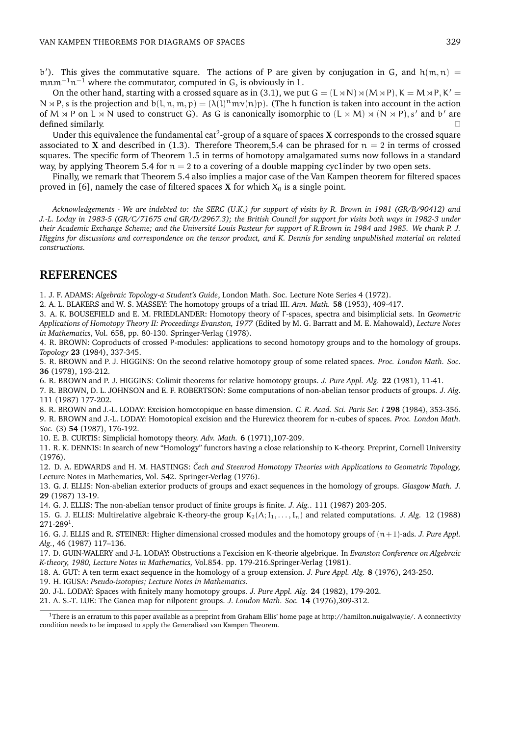b'). This gives the commutative square. The actions of P are given by conjugation in G, and  $h(m, n) =$  $m n m^{-1} n^{-1}$  where the commutator, computed in G, is obviously in L.

On the other hand, starting with a crossed square as in (3.1), we put  $G = (L \times N) \times (M \times P)$ ,  $K = M \times P$ ,  $K' =$  $N \rtimes P$ , s is the projection and b(l, n, m, p) =  $(\lambda(1)^n m v(n)p)$ . (The h function is taken into account in the action of  $M \rtimes P$  on  $L \rtimes N$  used to construct G). As G is canonically isomorphic to  $(L \rtimes M) \rtimes (N \rtimes P)$ , s' and b' are defined similarly.  $\Box$ 

Under this equivalence the fundamental cat<sup>2</sup>-group of a square of spaces **X** corresponds to the crossed square associated to X and described in (1.3). Therefore Theorem, 5.4 can be phrased for  $n = 2$  in terms of crossed squares. The specific form of Theorem 1.5 in terms of homotopy amalgamated sums now follows in a standard way, by applying Theorem 5.4 for  $n = 2$  to a covering of a double mapping cyc1inder by two open sets.

Finally, we remark that Theorem 5.4 also implies a major case of the Van Kampen theorem for filtered spaces proved in [6], namely the case of filtered spaces **X** for which  $X_0$  is a single point.

*Acknowledgements - We are indebted to: the SERC (U.K.) for support of visits by R. Brown in 1981 (GR/B/90412) and J.-L. Loday in 1983-5 (GR/C/71675 and GR/D/2967.3); the British Council for support for visits both ways in 1982-3 under their Academic Exchange Scheme; and the Université Louis Pasteur for support of R.Brown in 1984 and 1985. We thank P. J. Higgins for discussions and correspondence on the tensor product, and K. Dennis for sending unpublished material on related constructions.*

### **REFERENCES**

1. J. F. ADAMS: *Algebraic Topology-a Student's Guide*, London Math. Soc. Lecture Note Series 4 (1972).

2. A. L. BLAKERS and W. S. MASSEY: The homotopy groups of a triad III. *Ann. Math.* **58** (1953), 409-417.

3. A. K. BOUSEFIELD and E. M. FRIEDLANDER: Homotopy theory of Γ -spaces, spectra and bisimplicial sets. In *Geometric Applications of Homotopy Theory II: Proceedings Evanston, 1977* (Edited by M. G. Barratt and M. E. Mahowald), *Lecture Notes in Mathematics*, Vol. 658, pp. 80-130. Springer-Verlag (1978).

4. R. BROWN: Coproducts of crossed P-modules: applications to second homotopy groups and to the homology of groups. *Topology* **23** (1984), 337-345.

5. R. BROWN and P. J. HIGGINS: On the second relative homotopy group of some related spaces. *Proc. London Math. Soc*. **36** (1978), 193-212.

6. R. BROWN and P. J. HIGGINS: Colimit theorems for relative homotopy groups. *J. Pure Appl. Alg.* **22** (1981), 11-41.

7. R. BROWN, D. L. JOHNSON and E. F. ROBERTSON: Some computations of non-abelian tensor products of groups. *J. Alg*. 111 (1987) 177-202.

8. R. BROWN and J.-L. LODAY: Excision homotopique en basse dimension. *C. R. Acad. Sci. Paris Ser. I* **298** (1984), 353-356. 9. R. BROWN and J.-L. LODAY: Homotopical excision and the Hurewicz theorem for n-cubes of spaces. *Proc. London Math. Soc.* (3) **54** (1987), 176-192.

10. E. B. CURTIS: Simplicial homotopy theory. *Adv. Math.* **6** (1971),107-209.

11. R. K. DENNIS: In search of new "Homology" functors having a close relationship to K-theory. Preprint, Cornell University (1976).

12. D. A. EDWARDS and H. M. HASTINGS: *Cech and Steenrod Homotopy Theories with Applications to Geometric Topology, ˇ* Lecture Notes in Mathematics, Vol. 542. Springer-Verlag (1976).

13. G. J. ELLIS: Non-abelian exterior products of groups and exact sequences in the homology of groups. *Glasgow Math. J.* **29** (1987) 13-19.

14. G. J. ELLIS: The non-abelian tensor product of finite groups is finite. *J. Alg.*. 111 (1987) 203-205.

15. G. J. ELLIS: Multirelative algebraic K-theory-the group  $K_2(\Lambda; I_1, \ldots, I_n)$  and related computations. *J. Alg.* 12 (1988)  $271 - 289$ <sup>1</sup>.

16. G. J. ELLIS and R. STEINER: Higher dimensional crossed modules and the homotopy groups of (n+1)-ads. *J. Pure Appl. Alg.*, 46 (1987) 117–136.

17. D. GUIN-WALERY and J-L. LODAY: Obstructions a l'excision en K-theorie algebrique. In *Evanston Conference on Algebraic K-theory, 1980, Lecture Notes in Mathematics,* Vol.854. pp. 179-216.Springer-Verlag (1981).

18. A. GUT: A ten term exact sequence in the homology of a group extension. *J. Pure Appl. Alg.* **8** (1976), 243-250.

19. H. IGUSA: *Pseudo-isotopies; Lecture Notes in Mathematics.*

20. J-L. LODAY: Spaces with finitely many homotopy groups. *J. Pure Appl. Alg.* **24** (1982), 179-202.

21. A. S.-T. LUE: The Ganea map for nilpotent groups. *J. London Math. Soc.* **14** (1976),309-312.

<sup>1</sup>There is an erratum to this paper available as a preprint from Graham Ellis' home page at http://hamilton.nuigalway.ie/. A connectivity condition needs to be imposed to apply the Generalised van Kampen Theorem.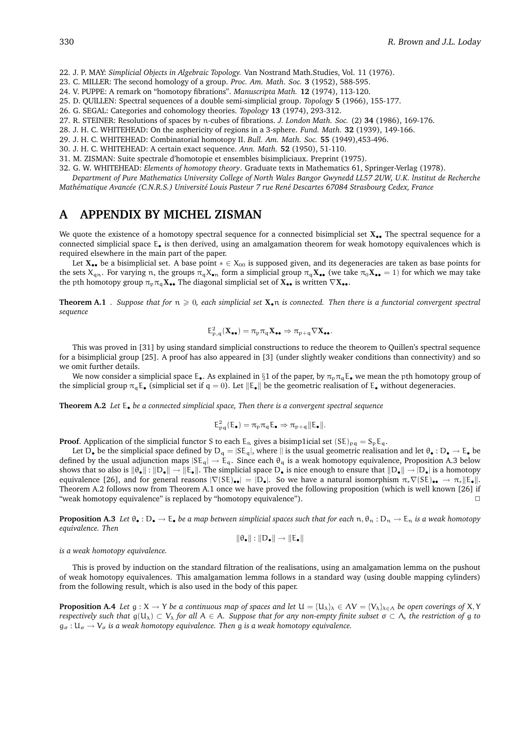- 22. J. P. MAY: *Simplicial Objects in Algebraic Topology.* Van Nostrand Math.Studies, Vol. 11 (1976).
- 23. C. MILLER: The second homology of a group. *Proc. Am. Math. Soc.* **3** (1952), 588-595.
- 24. V. PUPPE: A remark on "homotopy fibrations". *Manuscripta Math.* **12** (1974), 113-120.
- 25. D. QUlLLEN: Spectral sequences of a double semi-simplicial group. *Topology* **5** (1966), 155-177.
- 26. G. SEGAL: Categories and cohomology theories. *Topology* **13** (1974), 293-312.
- 27. R. STEINER: Resolutions of spaces by n-cubes of fibrations. *J. London Math. Soc.* (2) **34** (1986), 169-176.
- 28. J. H. C. WHITEHEAD: On the asphericity of regions in a 3-sphere. *Fund. Math.* **32** (1939), 149-166.
- 29. J. H. C. WHITEHEAD: Combinatorial homotopy II. *Bull. Am. Math. Soc.* **55** (1949),453-496.
- 30. J. H. C. WHITEHEAD: A certain exact sequence. *Ann. Math.* **52** (1950), 51-110.
- 31. M. ZISMAN: Suite spectrale d'homotopie et ensembles bisimpliciaux. Preprint (1975).
- 32. G. W. WHITEHEAD: *Elements of homotopy theory*. Graduate texts in Mathematics 61, Springer-Verlag (1978).

*Department of Pure Mathematics University College of North Wales Bangor Gwynedd LL57 2UW, U.K. lnstitut de Recherche Math´ematique Avanc´ee (C.N.R.S.) Universit´e Louis Pasteur 7 rue Ren´e Descartes 67084 Strasbourg Cedex, France*

# **A APPENDIX BY MICHEL ZISMAN**

We quote the existence of a homotopy spectral sequence for a connected bisimplicial set  $X_{\bullet\bullet}$ . The spectral sequence for a connected simplicial space E• is then derived, using an amalgamation theorem for weak homotopy equivalences which is required elsewhere in the main part of the paper.

Let  $X_{\bullet\bullet}$  be a bisimplicial set. A base point  $* \in X_{00}$  is supposed given, and its degeneracies are taken as base points for the sets  $X_{qn}$ . For varying n, the groups  $\pi_q X_{\bullet n}$  form a simplicial group  $\pi_q X_{\bullet \bullet}$  (we take  $\pi_0 X_{\bullet \bullet} = 1$ ) for which we may take the pth homotopy group  $\pi_p \pi_q X_{\bullet \bullet}$  The diagonal simplicial set of  $X_{\bullet \bullet}$  is written  $\nabla X_{\bullet \bullet}$ .

**Theorem A.1** *. Suppose that for*  $n \geq 0$ , each simplicial set  $X_{\bullet}n$  is connected. Then there is a functorial convergent spectral *sequence*

$$
\mathsf{E}_{\mathsf{p},\mathsf{q}}^2(\mathbf{X}_{\bullet\bullet}) = \pi_{\mathsf{p}}\pi_{\mathsf{q}}\mathbf{X}_{\bullet\bullet} \Rightarrow \pi_{\mathsf{p}+\mathsf{q}}\nabla\mathbf{X}_{\bullet\bullet}.
$$

This was proved in [31] by using standard simplicial constructions to reduce the theorem to Quillen's spectral sequence for a bisimplicial group [25]. A proof has also appeared in [3] (under slightly weaker conditions than connectivity) and so we omit further details.

We now consider a simplicial space  $E_{\bullet}$ . As explained in §1 of the paper, by  $\pi_p \pi_q E_{\bullet}$  we mean the pth homotopy group of the simplicial group  $\pi_q \mathsf{E}_\bullet$  (simplicial set if  $q = 0$ ). Let  $\|\mathsf{E}_\bullet\|$  be the geometric realisation of  $\mathsf{E}_\bullet$  without degeneracies.

**Theorem A.2** *Let* E• *be a connected simplicial space, Then there is a convergent spectral sequence*

$$
E_{pq}^2(E_{\bullet}) = \pi_p \pi_q E_{\bullet} \Rightarrow \pi_{p+q} ||E_{\bullet}||.
$$

**Proof.** Application of the simplicial functor S to each  $E_n$  gives a bisimp1icial set  $(SE)_{pq} = S_p E_q$ .

Let D<sub>•</sub> be the simplicial space defined by  $D_q = |SE_q|$ , where  $||$  is the usual geometric realisation and let  $\theta_e : D_e \to E_e$  be defined by the usual adjunction maps  $|SE_q| \to E_q$ . Since each  $\theta_q$  is a weak homotopy equivalence, Proposition A.3 below shows that so also is  $\|\theta_{\bullet}\| : \|D_{\bullet}\| \to \|E_{\bullet}\|$ . The simplicial space  $D_{\bullet}$  is nice enough to ensure that  $\|D_{\bullet}\| \to |D_{\bullet}|$  is a homotopy equivalence [26], and for general reasons  $|\nabla(\mathcal{S}E)_{\bullet\bullet}| = |D_{\bullet}|$ . So we have a natural isomorphism  $\pi_* \nabla(\mathcal{S}E)_{\bullet\bullet} \to \pi_* ||E_{\bullet}||$ . Theorem A.2 follows now from Theorem A.1 once we have proved the following proposition (which is well known [26] if "weak homotopy equivalence" is replaced by "homotopy equivalence").

**Proposition A.3** Let  $\theta_{\bullet} : D_{\bullet} \to E_{\bullet}$  *be a map between simplicial spaces such that for each*  $n, \theta_n : D_n \to E_n$  *is a weak homotopy equivalence. Then*

$$
\|\theta_\bullet\|:\|D_\bullet\|\to\|E_\bullet\|
$$

*is a weak homotopy equivalence.*

This is proved by induction on the standard filtration of the realisations, using an amalgamation lemma on the pushout of weak homotopy equivalences. This amalgamation lemma follows in a standard way (using double mapping cylinders) from the following result, which is also used in the body of this paper.

**Proposition A.4** *Let*  $g: X \to Y$  *be a continuous map of spaces and let*  $U = \{U_{\lambda}\}_\lambda \in \Lambda V = \{V_{\lambda}\}_\lambda \in \Lambda$  *be open coverings of* X, Y *respectively such that*  $g(U_\lambda) \subset V_\lambda$  *for all*  $A \in A$ *. Suppose that for any non-empty finite subset*  $\sigma \subset \Lambda$ *, the restriction of* g *to*  $g_{\sigma}: U_{\sigma} \to V_{\sigma}$  *is a weak homotopy equivalence. Then* g *is a weak homotopy equivalence.*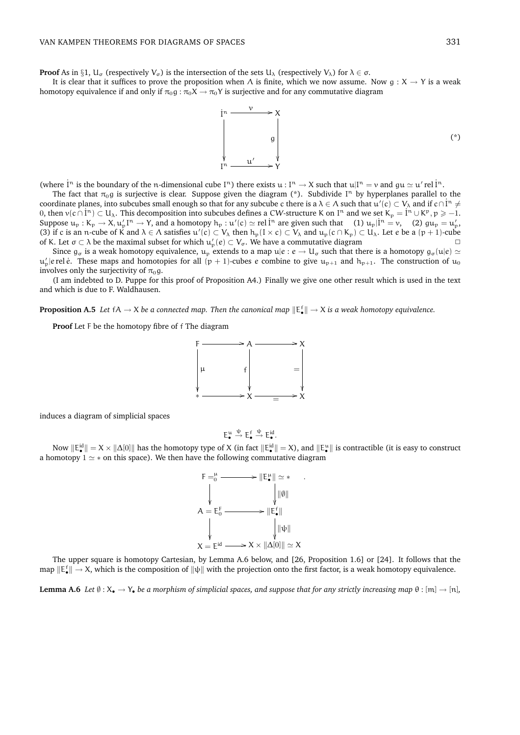**Proof** As in §1,  $U_{\alpha}$  (respectively  $V_{\alpha}$ ) is the intersection of the sets  $U_{\lambda}$  (respectively  $V_{\lambda}$ ) for  $\lambda \in \sigma$ .

It is clear that it suffices to prove the proposition when  $\Lambda$  is finite, which we now assume. Now  $g: X \to Y$  is a weak homotopy equivalence if and only if  $\pi_0 g : \pi_0 X \to \pi_0 Y$  is surjective and for any commutative diagram



(where  $\dot{l}^n$  is the boundary of the n-dimensional cube  $I^n$ ) there exists  $u: I^n \to X$  such that  $u|I^n = v$  and  $gu \simeq u'$  rel  $\dot{l}^n$ .

The fact that  $\pi_0$ g is surjective is clear. Suppose given the diagram (\*). Subdivide I<sup>n</sup> by hyperplanes parallel to the coordinate planes, into subcubes small enough so that for any subcube c there is a  $\lambda \in \Lambda$  such that  $u'(c) \subset V_\lambda$  and if  $c \cap i^n \neq j$ 0, then  $v(c \cap i^n) \subset U_\lambda$ . This decomposition into subcubes defines a CW-structure K on I<sup>n</sup> and we set  $K_p = i^n \cup K^p, p \ge -1$ . Suppose  $u_p : K_p \to X$ ,  $u'_p I^n \to Y$ , and a homotopy  $h_p : u'(c) \simeq$  rel  $\dot{I}^n$  are given such that  $(1) u_p | \dot{I}^n = v$ ,  $(2) gu_p = u'_p$ , (3) if c is an n-cube of K and  $\lambda \in \Lambda$  satisfies  $u'(c) \subset V_\lambda$  then  $h_p(I \times c) \subset V_\lambda$  and  $u_p(c \cap K_p) \subset U_\lambda$ . Let e be a  $(p+1)$ -cube of K. Let  $\sigma \subset \lambda$  be the maximal subset for which  $u'_p(e) \subset V_\sigma$ . We have a commutative diagram

Since  $g_{\sigma}$  is a weak homotopy equivalence,  $u_p$  extends to a map  $u|e : e \to U_{\sigma}$  such that there is a homotopy  $g_{\sigma}(u|e) \simeq$  $u'_p$ |e rel *è*. These maps and homotopies for all  $(p + 1)$ -cubes e combine to give  $u_{p+1}$  and  $h_{p+1}$ . The construction of  $u_0$ involves only the surjectivity of  $\pi_0$ g.

(I am indebted to D. Puppe for this proof of Proposition A4.) Finally we give one other result which is used in the text and which is due to F. Waldhausen.

**Proposition A.5** Let  $fA \to X$  be a connected map. Then the canonical map  $\|E^f_\bullet\| \to X$  is a weak homotopy equivalence.

**Proof** Let F be the homotopy fibre of f The diagram



induces a diagram of simplicial spaces

$$
\vdots_\bullet^u \xrightarrow{\psi} E_\bullet^f \xrightarrow{\psi} E_\bullet^{id}.
$$

E

Now  $\|\mathsf{E}_\bullet^{\mathrm{id}}\|=X\times\|\Delta[0]\|$  has the homotopy type of X (in fact  $\|\mathsf{E}_\bullet^{\mathrm{id}}\|=X$ ), and  $\|\mathsf{E}_\bullet^{\mathrm{u}}\|$  is contractible (it is easy to construct a homotopy  $1 \simeq *$  on this space). We then have the following commutative diagram



The upper square is homotopy Cartesian, by Lemma A.6 below, and [26, Proposition 1.6] or [24]. It follows that the map  $\|\mathbb{E}_{\bullet}^f\| \to X$ , which is the composition of  $\|\psi\|$  with the projection onto the first factor, is a weak homotopy equivalence.

**Lemma A.6** *Let*  $\emptyset$  :  $X_{\bullet} \to Y_{\bullet}$  *be a morphism of simplicial spaces, and suppose that for any strictly increasing map*  $\theta$  : [m]  $\to$  [n]*,*